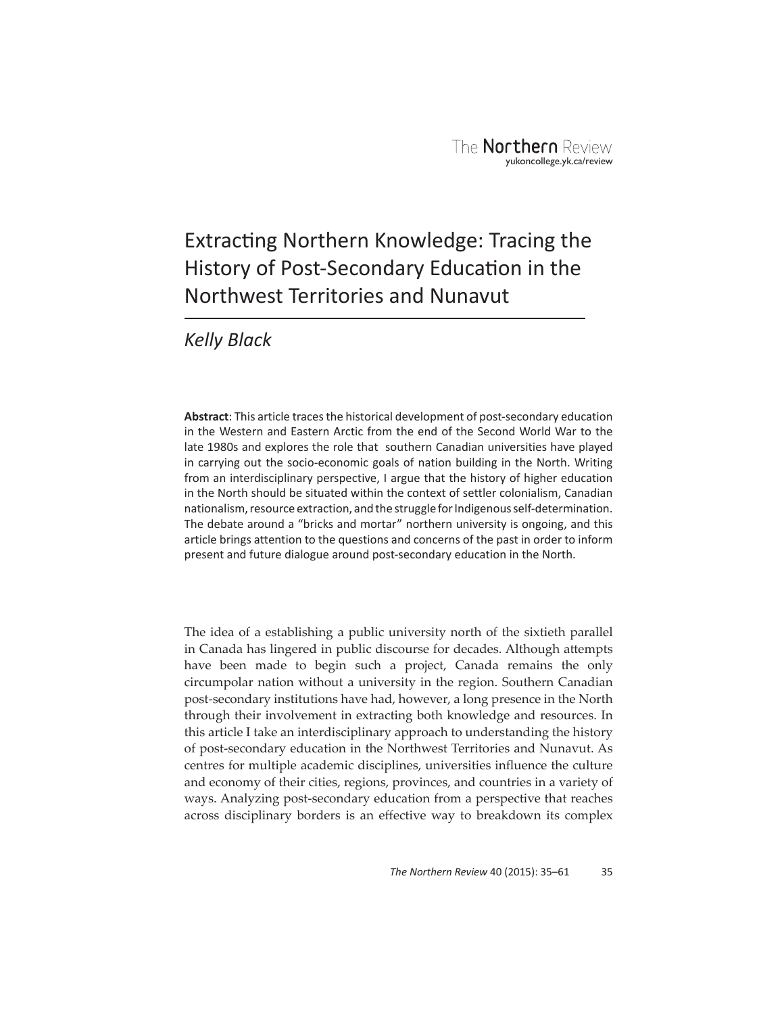# Extracting Northern Knowledge: Tracing the History of Post-Secondary Education in the Northwest Territories and Nunavut

*Kelly Black*

Abstract: This article traces the historical development of post-secondary education in the Western and Eastern Arctic from the end of the Second World War to the late 1980s and explores the role that southern Canadian universities have played in carrying out the socio-economic goals of nation building in the North. Writing from an interdisciplinary perspective, I argue that the history of higher education in the North should be situated within the context of settler colonialism, Canadian nationalism, resource extraction, and the struggle for Indigenous self-determination. The debate around a "bricks and mortar" northern university is ongoing, and this article brings attention to the questions and concerns of the past in order to inform present and future dialogue around post-secondary education in the North.

The idea of a establishing a public university north of the sixtieth parallel in Canada has lingered in public discourse for decades. Although attempts have been made to begin such a project, Canada remains the only circumpolar nation without a university in the region. Southern Canadian post-secondary institutions have had, however, a long presence in the North through their involvement in extracting both knowledge and resources. In this article I take an interdisciplinary approach to understanding the history of post-secondary education in the Northwest Territories and Nunavut. As centres for multiple academic disciplines, universities influence the culture and economy of their cities, regions, provinces, and countries in a variety of ways. Analyzing post-secondary education from a perspective that reaches across disciplinary borders is an effective way to breakdown its complex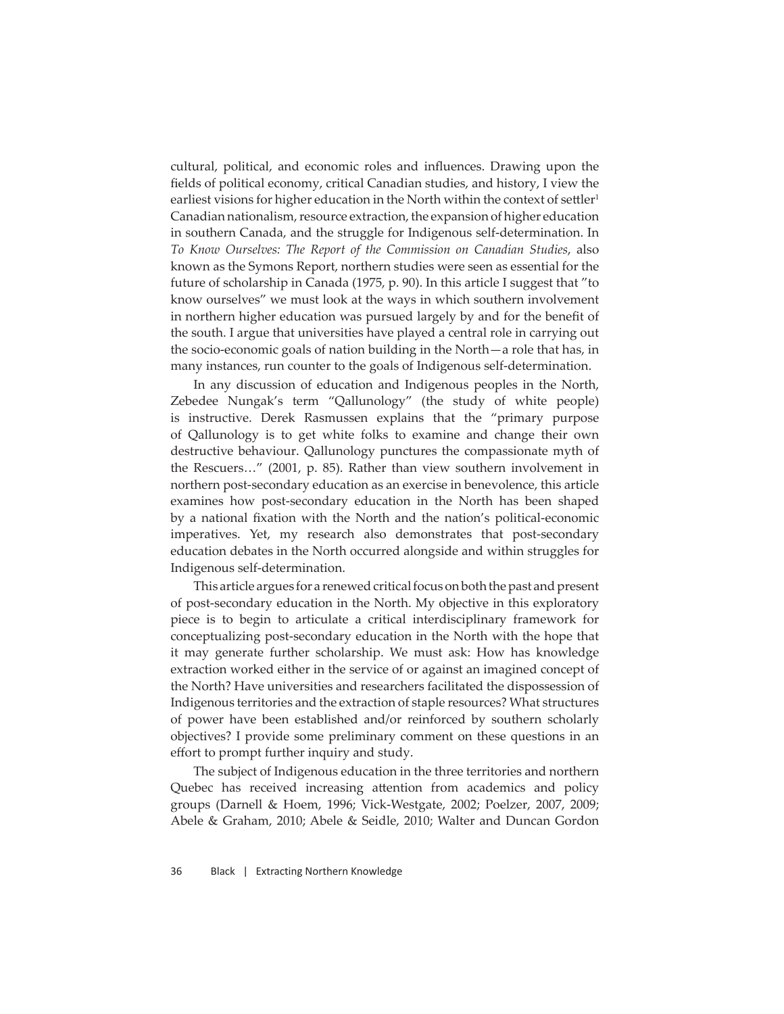cultural, political, and economic roles and influences. Drawing upon the fields of political economy, critical Canadian studies, and history, I view the earliest visions for higher education in the North within the context of settler<sup>1</sup> Canadian nationalism, resource extraction, the expansion of higher education in southern Canada, and the struggle for Indigenous self-determination. In *To Know Ourselves: The Report of the Commission on Canadian Studies*, also known as the Symons Report, northern studies were seen as essential for the future of scholarship in Canada (1975, p. 90). In this article I suggest that "to know ourselves" we must look at the ways in which southern involvement in northern higher education was pursued largely by and for the benefit of the south. I argue that universities have played a central role in carrying out the socio-economic goals of nation building in the North—a role that has, in many instances, run counter to the goals of Indigenous self-determination.

In any discussion of education and Indigenous peoples in the North, Zebedee Nungak's term "Qallunology" (the study of white people) is instructive. Derek Rasmussen explains that the "primary purpose of Qallunology is to get white folks to examine and change their own destructive behaviour. Qallunology punctures the compassionate myth of the Rescuers…" (2001, p. 85). Rather than view southern involvement in northern post-secondary education as an exercise in benevolence, this article examines how post-secondary education in the North has been shaped by a national fixation with the North and the nation's political-economic imperatives. Yet, my research also demonstrates that post-secondary education debates in the North occurred alongside and within struggles for Indigenous self-determination.

This article argues for a renewed critical focus on both the past and present of post-secondary education in the North. My objective in this exploratory piece is to begin to articulate a critical interdisciplinary framework for conceptualizing post-secondary education in the North with the hope that it may generate further scholarship. We must ask: How has knowledge extraction worked either in the service of or against an imagined concept of the North? Have universities and researchers facilitated the dispossession of Indigenous territories and the extraction of staple resources? What structures of power have been established and/or reinforced by southern scholarly objectives? I provide some preliminary comment on these questions in an effort to prompt further inquiry and study.

The subject of Indigenous education in the three territories and northern Quebec has received increasing attention from academics and policy groups (Darnell & Hoem, 1996; Vick-Westgate, 2002; Poelzer, 2007, 2009; Abele & Graham, 2010; Abele & Seidle, 2010; Walter and Duncan Gordon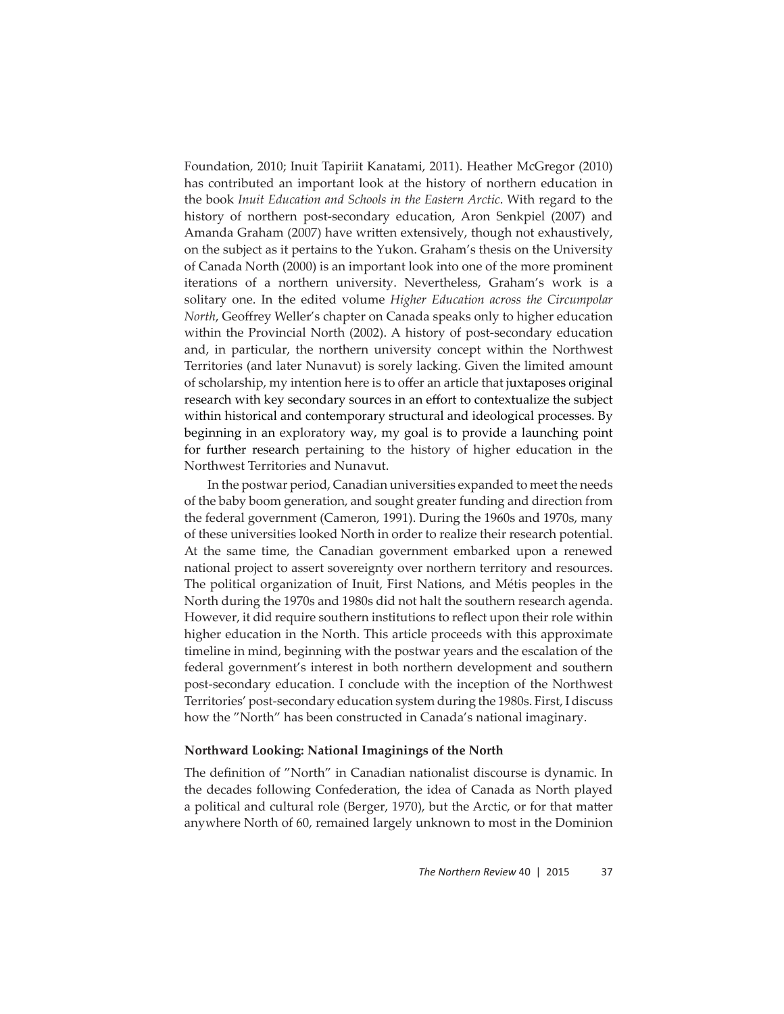Foundation, 2010; Inuit Tapiriit Kanatami, 2011). Heather McGregor (2010) has contributed an important look at the history of northern education in the book *Inuit Education and Schools in the Eastern Arctic*. With regard to the history of northern post-secondary education, Aron Senkpiel (2007) and Amanda Graham (2007) have written extensively, though not exhaustively, on the subject as it pertains to the Yukon. Graham's thesis on the University of Canada North (2000) is an important look into one of the more prominent iterations of a northern university. Nevertheless, Graham's work is a solitary one. In the edited volume *Higher Education across the Circumpolar North*, Geoffrey Weller's chapter on Canada speaks only to higher education within the Provincial North (2002). A history of post-secondary education and, in particular, the northern university concept within the Northwest Territories (and later Nunavut) is sorely lacking. Given the limited amount of scholarship, my intention here is to offer an article that juxtaposes original research with key secondary sources in an effort to contextualize the subject within historical and contemporary structural and ideological processes. By beginning in an exploratory way, my goal is to provide a launching point for further research pertaining to the history of higher education in the Northwest Territories and Nunavut.

In the postwar period, Canadian universities expanded to meet the needs of the baby boom generation, and sought greater funding and direction from the federal government (Cameron, 1991). During the 1960s and 1970s, many of these universities looked North in order to realize their research potential. At the same time, the Canadian government embarked upon a renewed national project to assert sovereignty over northern territory and resources. The political organization of Inuit, First Nations, and Métis peoples in the North during the 1970s and 1980s did not halt the southern research agenda. However, it did require southern institutions to reflect upon their role within higher education in the North. This article proceeds with this approximate timeline in mind, beginning with the postwar years and the escalation of the federal government's interest in both northern development and southern post-secondary education. I conclude with the inception of the Northwest Territories' post-secondary education system during the 1980s. First, I discuss how the "North" has been constructed in Canada's national imaginary.

#### **Northward Looking: National Imaginings of the North**

The definition of "North" in Canadian nationalist discourse is dynamic. In the decades following Confederation, the idea of Canada as North played a political and cultural role (Berger, 1970), but the Arctic, or for that matter anywhere North of 60, remained largely unknown to most in the Dominion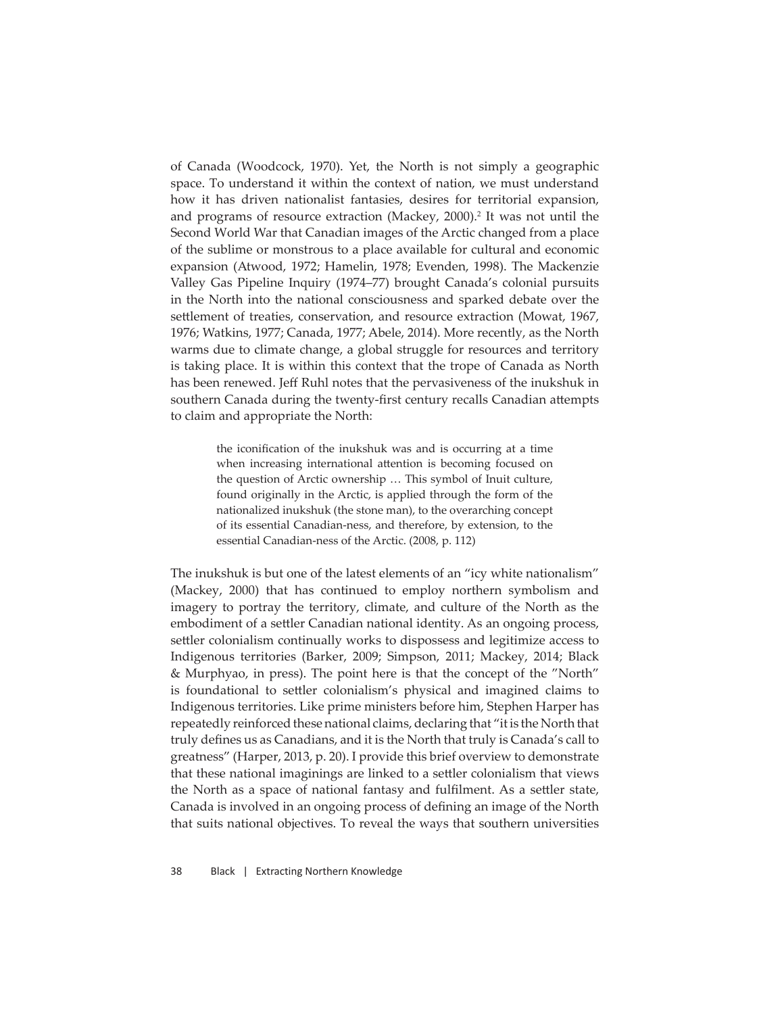of Canada (Woodcock, 1970). Yet, the North is not simply a geographic space. To understand it within the context of nation, we must understand how it has driven nationalist fantasies, desires for territorial expansion, and programs of resource extraction (Mackey, 2000).<sup>2</sup> It was not until the Second World War that Canadian images of the Arctic changed from a place of the sublime or monstrous to a place available for cultural and economic expansion (Atwood, 1972; Hamelin, 1978; Evenden, 1998). The Mackenzie Valley Gas Pipeline Inquiry (1974–77) brought Canada's colonial pursuits in the North into the national consciousness and sparked debate over the settlement of treaties, conservation, and resource extraction (Mowat, 1967, 1976; Watkins, 1977; Canada, 1977; Abele, 2014). More recently, as the North warms due to climate change, a global struggle for resources and territory is taking place. It is within this context that the trope of Canada as North has been renewed. Jeff Ruhl notes that the pervasiveness of the inukshuk in southern Canada during the twenty-first century recalls Canadian attempts to claim and appropriate the North:

> the iconification of the inukshuk was and is occurring at a time when increasing international attention is becoming focused on the question of Arctic ownership … This symbol of Inuit culture, found originally in the Arctic, is applied through the form of the nationalized inukshuk (the stone man), to the overarching concept of its essential Canadian-ness, and therefore, by extension, to the essential Canadian-ness of the Arctic. (2008, p. 112)

The inukshuk is but one of the latest elements of an "icy white nationalism" (Mackey, 2000) that has continued to employ northern symbolism and imagery to portray the territory, climate, and culture of the North as the embodiment of a settler Canadian national identity. As an ongoing process, settler colonialism continually works to dispossess and legitimize access to Indigenous territories (Barker, 2009; Simpson, 2011; Mackey, 2014; Black & Murphyao, in press). The point here is that the concept of the "North" is foundational to settler colonialism's physical and imagined claims to Indigenous territories. Like prime ministers before him, Stephen Harper has repeatedly reinforced these national claims, declaring that "it is the North that truly defines us as Canadians, and it is the North that truly is Canada's call to greatness" (Harper, 2013, p. 20). I provide this brief overview to demonstrate that these national imaginings are linked to a settler colonialism that views the North as a space of national fantasy and fulfilment. As a settler state, Canada is involved in an ongoing process of defining an image of the North that suits national objectives. To reveal the ways that southern universities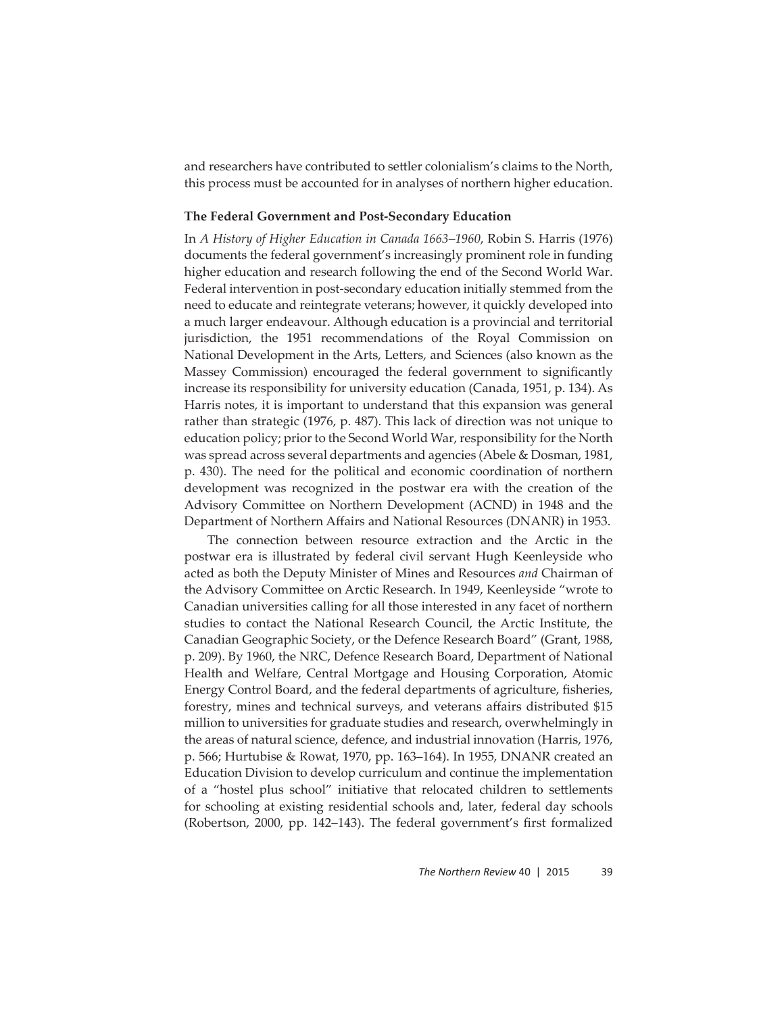and researchers have contributed to settler colonialism's claims to the North, this process must be accounted for in analyses of northern higher education.

#### **The Federal Government and Post-Secondary Education**

In *A History of Higher Education in Canada 1663–1960*, Robin S. Harris (1976) documents the federal government's increasingly prominent role in funding higher education and research following the end of the Second World War. Federal intervention in post-secondary education initially stemmed from the need to educate and reintegrate veterans; however, it quickly developed into a much larger endeavour. Although education is a provincial and territorial jurisdiction, the 1951 recommendations of the Royal Commission on National Development in the Arts, Letters, and Sciences (also known as the Massey Commission) encouraged the federal government to significantly increase its responsibility for university education (Canada, 1951, p. 134). As Harris notes, it is important to understand that this expansion was general rather than strategic (1976, p. 487). This lack of direction was not unique to education policy; prior to the Second World War, responsibility for the North was spread across several departments and agencies (Abele & Dosman, 1981, p. 430). The need for the political and economic coordination of northern development was recognized in the postwar era with the creation of the Advisory Committee on Northern Development (ACND) in 1948 and the Department of Northern Affairs and National Resources (DNANR) in 1953.

The connection between resource extraction and the Arctic in the postwar era is illustrated by federal civil servant Hugh Keenleyside who acted as both the Deputy Minister of Mines and Resources *and* Chairman of the Advisory Committee on Arctic Research. In 1949, Keenleyside "wrote to Canadian universities calling for all those interested in any facet of northern studies to contact the National Research Council, the Arctic Institute, the Canadian Geographic Society, or the Defence Research Board" (Grant, 1988, p. 209). By 1960, the NRC, Defence Research Board, Department of National Health and Welfare, Central Mortgage and Housing Corporation, Atomic Energy Control Board, and the federal departments of agriculture, fisheries, forestry, mines and technical surveys, and veterans affairs distributed \$15 million to universities for graduate studies and research, overwhelmingly in the areas of natural science, defence, and industrial innovation (Harris, 1976, p. 566; Hurtubise & Rowat, 1970, pp. 163–164). In 1955, DNANR created an Education Division to develop curriculum and continue the implementation of a "hostel plus school" initiative that relocated children to settlements for schooling at existing residential schools and, later, federal day schools (Robertson, 2000, pp. 142–143). The federal government's first formalized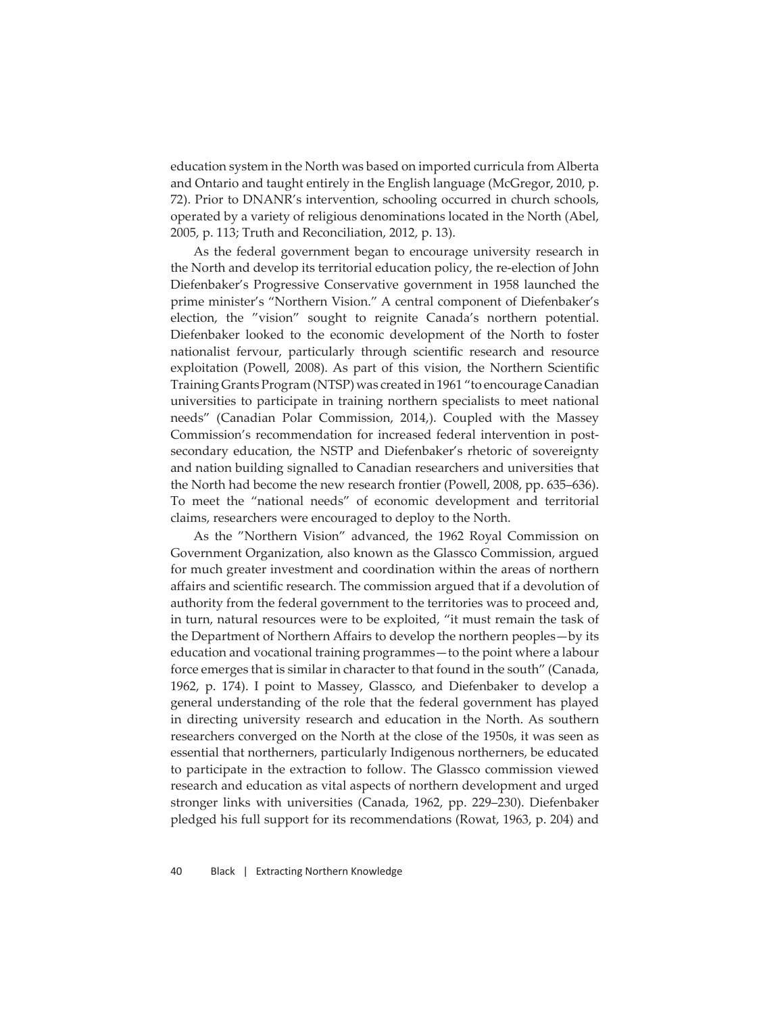education system in the North was based on imported curricula from Alberta and Ontario and taught entirely in the English language (McGregor, 2010, p. 72). Prior to DNANR's intervention, schooling occurred in church schools, operated by a variety of religious denominations located in the North (Abel, 2005, p. 113; Truth and Reconciliation, 2012, p. 13).

As the federal government began to encourage university research in the North and develop its territorial education policy, the re-election of John Diefenbaker's Progressive Conservative government in 1958 launched the prime minister's "Northern Vision." A central component of Diefenbaker's election, the "vision" sought to reignite Canada's northern potential. Diefenbaker looked to the economic development of the North to foster nationalist fervour, particularly through scientific research and resource exploitation (Powell, 2008). As part of this vision, the Northern Scientific Training Grants Program (NTSP) was created in 1961 "to encourage Canadian universities to participate in training northern specialists to meet national needs" (Canadian Polar Commission, 2014,). Coupled with the Massey Commission's recommendation for increased federal intervention in postsecondary education, the NSTP and Diefenbaker's rhetoric of sovereignty and nation building signalled to Canadian researchers and universities that the North had become the new research frontier (Powell, 2008, pp. 635–636). To meet the "national needs" of economic development and territorial claims, researchers were encouraged to deploy to the North.

As the "Northern Vision" advanced, the 1962 Royal Commission on Government Organization, also known as the Glassco Commission, argued for much greater investment and coordination within the areas of northern affairs and scientific research. The commission argued that if a devolution of authority from the federal government to the territories was to proceed and, in turn, natural resources were to be exploited, "it must remain the task of the Department of Northern Affairs to develop the northern peoples—by its education and vocational training programmes—to the point where a labour force emerges that is similar in character to that found in the south" (Canada, 1962, p. 174). I point to Massey, Glassco, and Diefenbaker to develop a general understanding of the role that the federal government has played in directing university research and education in the North. As southern researchers converged on the North at the close of the 1950s, it was seen as essential that northerners, particularly Indigenous northerners, be educated to participate in the extraction to follow. The Glassco commission viewed research and education as vital aspects of northern development and urged stronger links with universities (Canada, 1962, pp. 229–230). Diefenbaker pledged his full support for its recommendations (Rowat, 1963, p. 204) and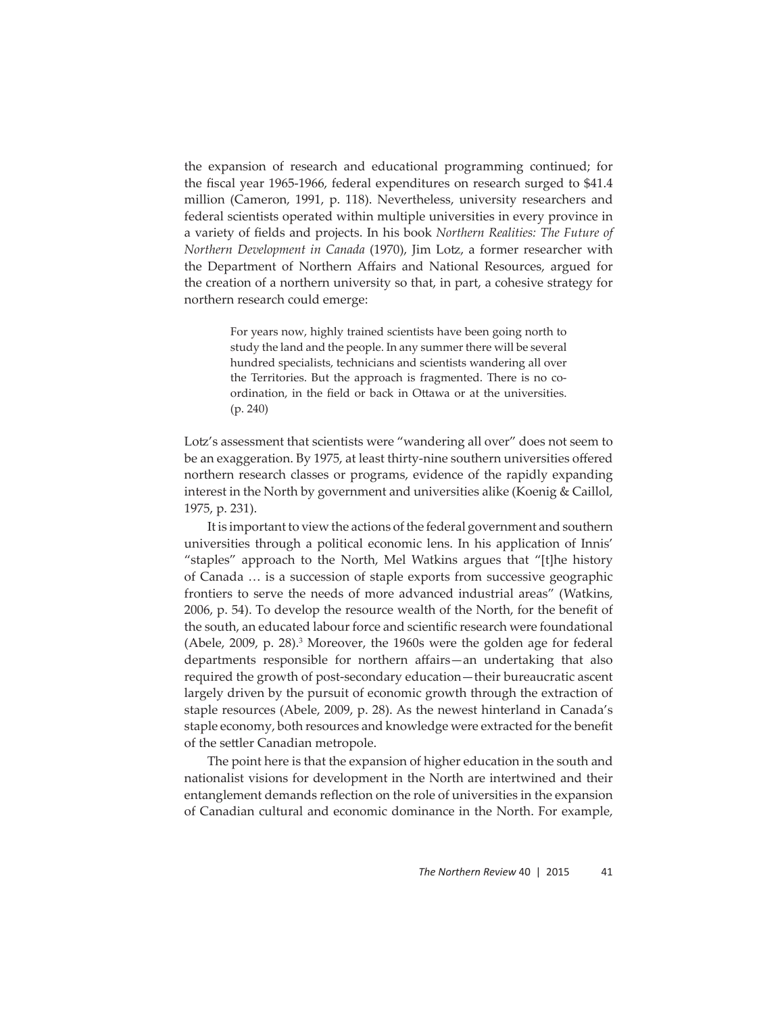the expansion of research and educational programming continued; for the fiscal year 1965-1966, federal expenditures on research surged to \$41.4 million (Cameron, 1991, p. 118). Nevertheless, university researchers and federal scientists operated within multiple universities in every province in a variety of fields and projects. In his book *Northern Realities: The Future of Northern Development in Canada* (1970), Jim Lotz, a former researcher with the Department of Northern Affairs and National Resources, argued for the creation of a northern university so that, in part, a cohesive strategy for northern research could emerge:

> For years now, highly trained scientists have been going north to study the land and the people. In any summer there will be several hundred specialists, technicians and scientists wandering all over the Territories. But the approach is fragmented. There is no coordination, in the field or back in Ottawa or at the universities. (p. 240)

Lotz's assessment that scientists were "wandering all over" does not seem to be an exaggeration. By 1975, at least thirty-nine southern universities offered northern research classes or programs, evidence of the rapidly expanding interest in the North by government and universities alike (Koenig & Caillol, 1975, p. 231).

It is important to view the actions of the federal government and southern universities through a political economic lens. In his application of Innis' "staples" approach to the North, Mel Watkins argues that "[t]he history of Canada … is a succession of staple exports from successive geographic frontiers to serve the needs of more advanced industrial areas" (Watkins, 2006, p. 54). To develop the resource wealth of the North, for the benefit of the south, an educated labour force and scientific research were foundational (Abele, 2009, p. 28).<sup>3</sup> Moreover, the 1960s were the golden age for federal departments responsible for northern affairs—an undertaking that also required the growth of post-secondary education—their bureaucratic ascent largely driven by the pursuit of economic growth through the extraction of staple resources (Abele, 2009, p. 28). As the newest hinterland in Canada's staple economy, both resources and knowledge were extracted for the benefit of the settler Canadian metropole.

The point here is that the expansion of higher education in the south and nationalist visions for development in the North are intertwined and their entanglement demands reflection on the role of universities in the expansion of Canadian cultural and economic dominance in the North. For example,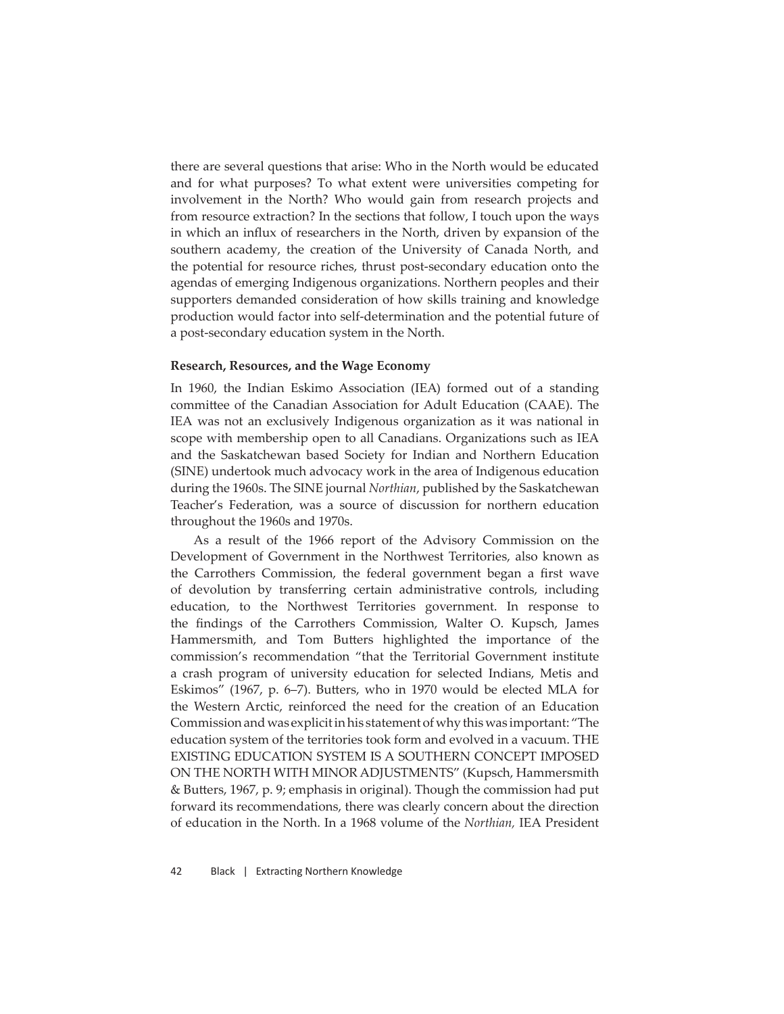there are several questions that arise: Who in the North would be educated and for what purposes? To what extent were universities competing for involvement in the North? Who would gain from research projects and from resource extraction? In the sections that follow, I touch upon the ways in which an influx of researchers in the North, driven by expansion of the southern academy, the creation of the University of Canada North, and the potential for resource riches, thrust post-secondary education onto the agendas of emerging Indigenous organizations. Northern peoples and their supporters demanded consideration of how skills training and knowledge production would factor into self-determination and the potential future of a post-secondary education system in the North.

#### **Research, Resources, and the Wage Economy**

In 1960, the Indian Eskimo Association (IEA) formed out of a standing committ ee of the Canadian Association for Adult Education (CAAE). The IEA was not an exclusively Indigenous organization as it was national in scope with membership open to all Canadians. Organizations such as IEA and the Saskatchewan based Society for Indian and Northern Education (SINE) undertook much advocacy work in the area of Indigenous education during the 1960s. The SINE journal *Northian*, published by the Saskatchewan Teacher's Federation, was a source of discussion for northern education throughout the 1960s and 1970s.

As a result of the 1966 report of the Advisory Commission on the Development of Government in the Northwest Territories, also known as the Carrothers Commission, the federal government began a first wave of devolution by transferring certain administrative controls, including education, to the Northwest Territories government. In response to the findings of the Carrothers Commission, Walter O. Kupsch, James Hammersmith, and Tom Butters highlighted the importance of the commission's recommendation "that the Territorial Government institute a crash program of university education for selected Indians, Metis and Eskimos" (1967, p. 6–7). Butters, who in 1970 would be elected MLA for the Western Arctic, reinforced the need for the creation of an Education Commission and was explicit in his statement of why this was important: "The education system of the territories took form and evolved in a vacuum. THE EXISTING EDUCATION SYSTEM IS A SOUTHERN CONCEPT IMPOSED ON THE NORTH WITH MINOR ADJUSTMENTS" (Kupsch, Hammersmith & Butters, 1967, p. 9; emphasis in original). Though the commission had put forward its recommendations, there was clearly concern about the direction of education in the North. In a 1968 volume of the *Northian,* IEA President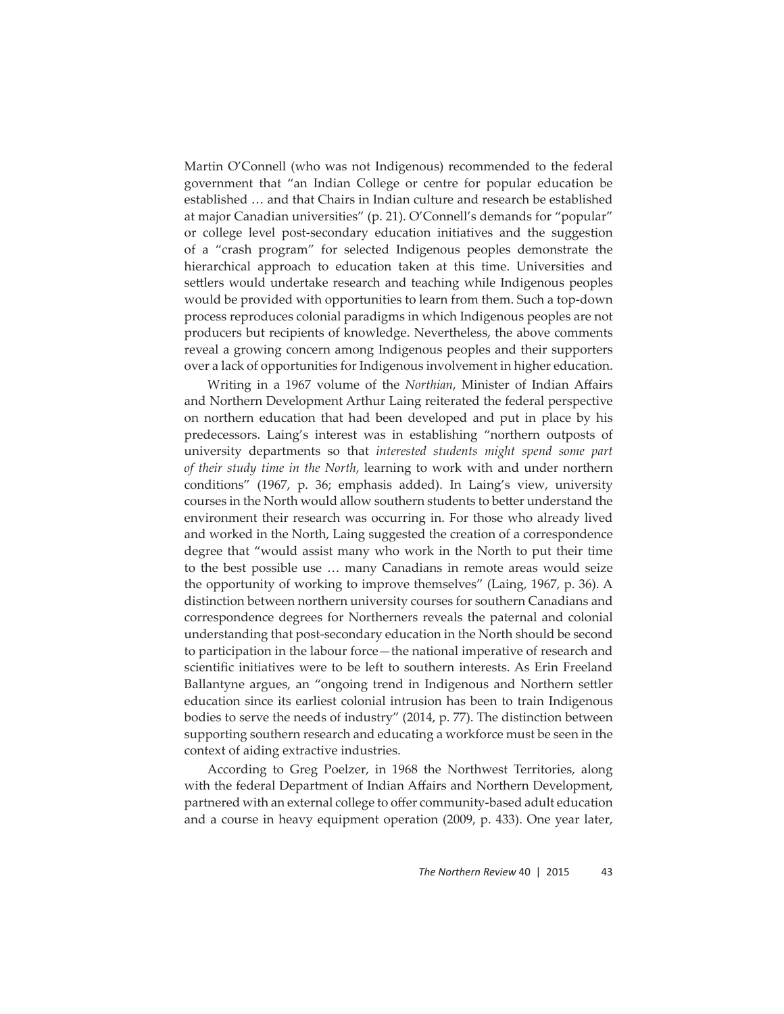Martin O'Connell (who was not Indigenous) recommended to the federal government that "an Indian College or centre for popular education be established … and that Chairs in Indian culture and research be established at major Canadian universities" (p. 21). O'Connell's demands for "popular" or college level post-secondary education initiatives and the suggestion of a "crash program" for selected Indigenous peoples demonstrate the hierarchical approach to education taken at this time. Universities and settlers would undertake research and teaching while Indigenous peoples would be provided with opportunities to learn from them. Such a top-down process reproduces colonial paradigms in which Indigenous peoples are not producers but recipients of knowledge. Nevertheless, the above comments reveal a growing concern among Indigenous peoples and their supporters over a lack of opportunities for Indigenous involvement in higher education.

Writing in a 1967 volume of the *Northian*, Minister of Indian Affairs and Northern Development Arthur Laing reiterated the federal perspective on northern education that had been developed and put in place by his predecessors. Laing's interest was in establishing "northern outposts of university departments so that *interested students might spend some part of their study time in the North*, learning to work with and under northern conditions" (1967, p. 36; emphasis added). In Laing's view, university courses in the North would allow southern students to better understand the environment their research was occurring in. For those who already lived and worked in the North, Laing suggested the creation of a correspondence degree that "would assist many who work in the North to put their time to the best possible use … many Canadians in remote areas would seize the opportunity of working to improve themselves" (Laing, 1967, p. 36). A distinction between northern university courses for southern Canadians and correspondence degrees for Northerners reveals the paternal and colonial understanding that post-secondary education in the North should be second to participation in the labour force—the national imperative of research and scientific initiatives were to be left to southern interests. As Erin Freeland Ballantyne argues, an "ongoing trend in Indigenous and Northern settler education since its earliest colonial intrusion has been to train Indigenous bodies to serve the needs of industry" (2014, p. 77). The distinction between supporting southern research and educating a workforce must be seen in the context of aiding extractive industries.

According to Greg Poelzer, in 1968 the Northwest Territories, along with the federal Department of Indian Affairs and Northern Development, partnered with an external college to offer community-based adult education and a course in heavy equipment operation (2009, p. 433). One year later,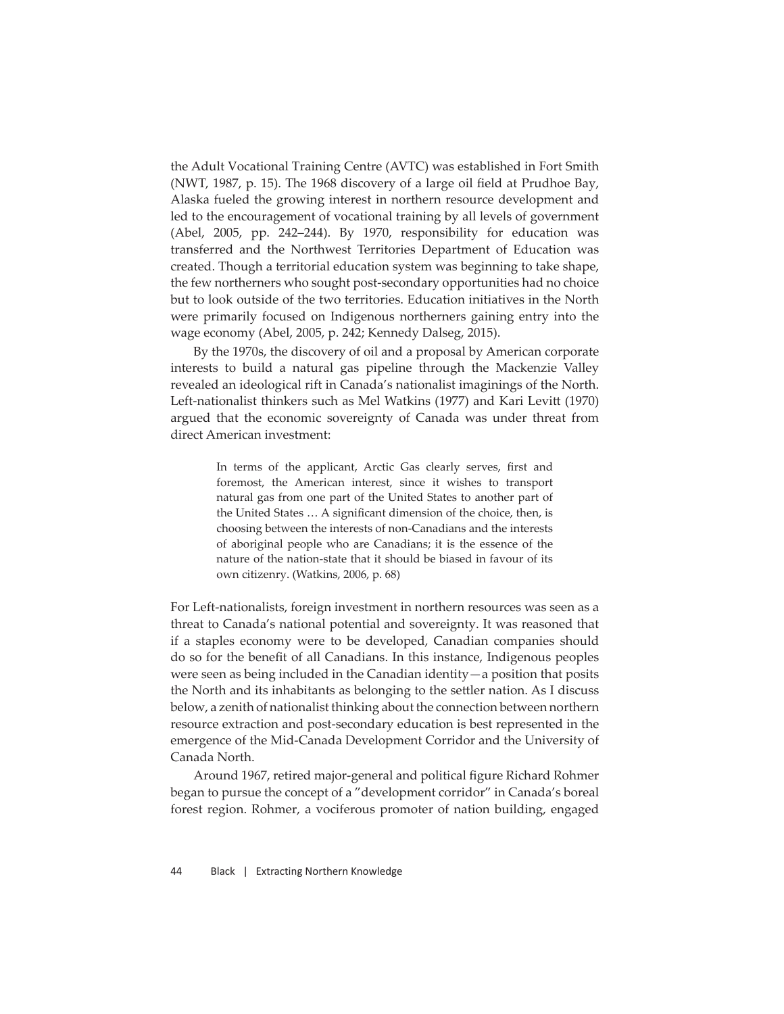the Adult Vocational Training Centre (AVTC) was established in Fort Smith (NWT, 1987, p. 15). The 1968 discovery of a large oil field at Prudhoe Bay, Alaska fueled the growing interest in northern resource development and led to the encouragement of vocational training by all levels of government (Abel, 2005, pp. 242–244). By 1970, responsibility for education was transferred and the Northwest Territories Department of Education was created. Though a territorial education system was beginning to take shape, the few northerners who sought post-secondary opportunities had no choice but to look outside of the two territories. Education initiatives in the North were primarily focused on Indigenous northerners gaining entry into the wage economy (Abel, 2005, p. 242; Kennedy Dalseg, 2015).

By the 1970s, the discovery of oil and a proposal by American corporate interests to build a natural gas pipeline through the Mackenzie Valley revealed an ideological rift in Canada's nationalist imaginings of the North. Left-nationalist thinkers such as Mel Watkins (1977) and Kari Levitt (1970) argued that the economic sovereignty of Canada was under threat from direct American investment:

> In terms of the applicant, Arctic Gas clearly serves, first and foremost, the American interest, since it wishes to transport natural gas from one part of the United States to another part of the United States ... A significant dimension of the choice, then, is choosing between the interests of non-Canadians and the interests of aboriginal people who are Canadians; it is the essence of the nature of the nation-state that it should be biased in favour of its own citizenry. (Watkins, 2006, p. 68)

For Left-nationalists, foreign investment in northern resources was seen as a threat to Canada's national potential and sovereignty. It was reasoned that if a staples economy were to be developed, Canadian companies should do so for the benefi t of all Canadians. In this instance, Indigenous peoples were seen as being included in the Canadian identity—a position that posits the North and its inhabitants as belonging to the settler nation. As I discuss below, a zenith of nationalist thinking about the connection between northern resource extraction and post-secondary education is best represented in the emergence of the Mid-Canada Development Corridor and the University of Canada North.

Around 1967, retired major-general and political figure Richard Rohmer began to pursue the concept of a "development corridor" in Canada's boreal forest region. Rohmer, a vociferous promoter of nation building, engaged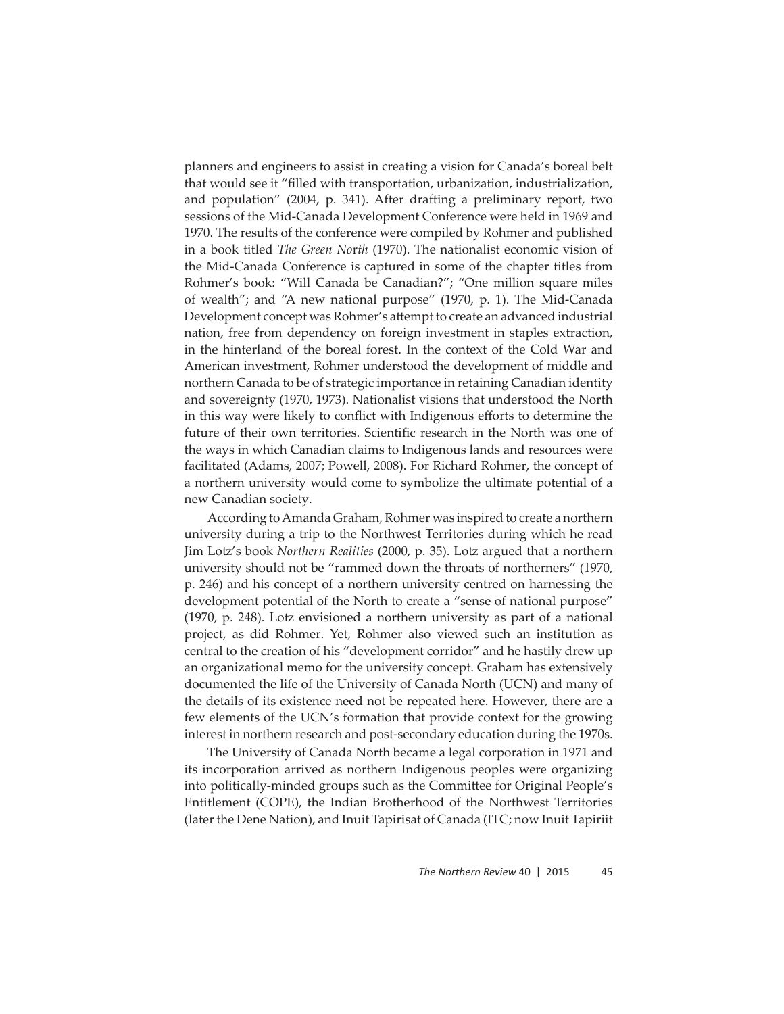planners and engineers to assist in creating a vision for Canada's boreal belt that would see it "filled with transportation, urbanization, industrialization, and population" (2004, p. 341). After drafting a preliminary report, two sessions of the Mid-Canada Development Conference were held in 1969 and 1970. The results of the conference were compiled by Rohmer and published in a book titled *The Green No*r*th* (1970). The nationalist economic vision of the Mid-Canada Conference is captured in some of the chapter titles from Rohmer's book: "Will Canada be Canadian?"; "One million square miles of wealth"; and "A new national purpose" (1970, p. 1). The Mid-Canada Development concept was Rohmer's attempt to create an advanced industrial nation, free from dependency on foreign investment in staples extraction, in the hinterland of the boreal forest. In the context of the Cold War and American investment, Rohmer understood the development of middle and northern Canada to be of strategic importance in retaining Canadian identity and sovereignty (1970, 1973). Nationalist visions that understood the North in this way were likely to conflict with Indigenous efforts to determine the future of their own territories. Scientific research in the North was one of the ways in which Canadian claims to Indigenous lands and resources were facilitated (Adams, 2007; Powell, 2008). For Richard Rohmer, the concept of a northern university would come to symbolize the ultimate potential of a new Canadian society.

According to Amanda Graham, Rohmer was inspired to create a northern university during a trip to the Northwest Territories during which he read Jim Lotz 's book *Northern Realities* (2000, p. 35). Lotz argued that a northern university should not be "rammed down the throats of northerners" (1970, p. 246) and his concept of a northern university centred on harnessing the development potential of the North to create a "sense of national purpose" (1970, p. 248). Lotz envisioned a northern university as part of a national project, as did Rohmer. Yet, Rohmer also viewed such an institution as central to the creation of his "development corridor" and he hastily drew up an organizational memo for the university concept. Graham has extensively documented the life of the University of Canada North (UCN) and many of the details of its existence need not be repeated here. However, there are a few elements of the UCN's formation that provide context for the growing interest in northern research and post-secondary education during the 1970s.

The University of Canada North became a legal corporation in 1971 and its incorporation arrived as northern Indigenous peoples were organizing into politically-minded groups such as the Committee for Original People's Entitlement (COPE), the Indian Brotherhood of the Northwest Territories (later the Dene Nation), and Inuit Tapirisat of Canada (ITC; now Inuit Tapiriit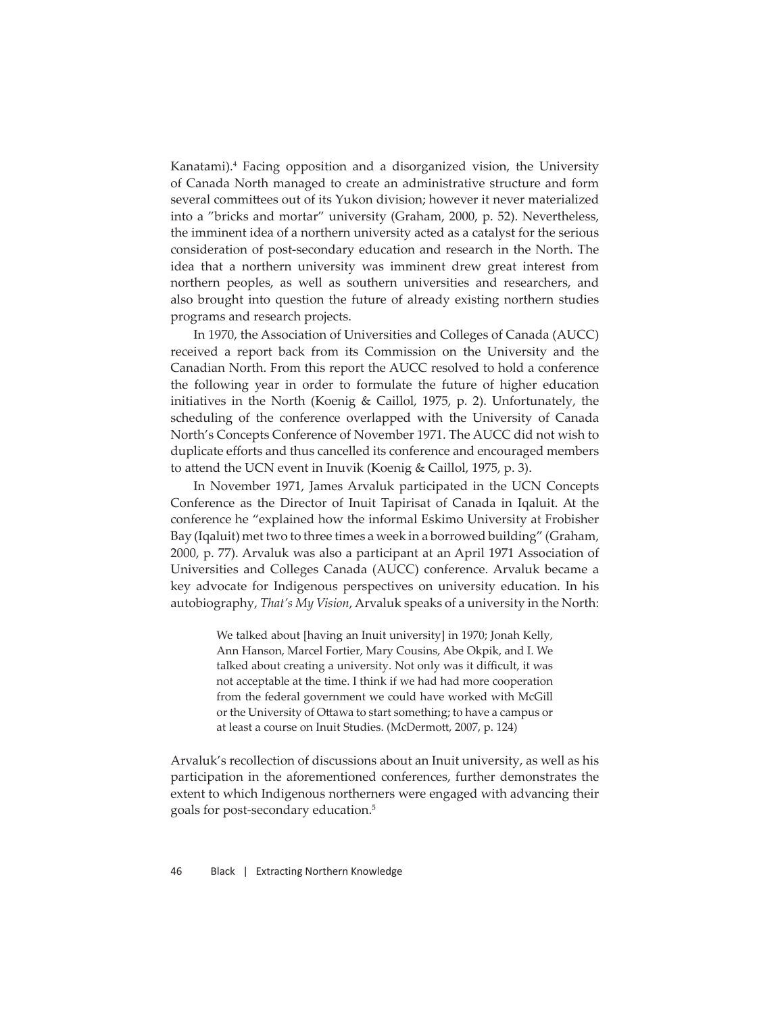Kanatami).<sup>4</sup> Facing opposition and a disorganized vision, the University of Canada North managed to create an administrative structure and form several committees out of its Yukon division; however it never materialized into a "bricks and mortar" university (Graham, 2000, p. 52). Nevertheless, the imminent idea of a northern university acted as a catalyst for the serious consideration of post-secondary education and research in the North. The idea that a northern university was imminent drew great interest from northern peoples, as well as southern universities and researchers, and also brought into question the future of already existing northern studies programs and research projects.

In 1970, the Association of Universities and Colleges of Canada (AUCC) received a report back from its Commission on the University and the Canadian North. From this report the AUCC resolved to hold a conference the following year in order to formulate the future of higher education initiatives in the North (Koenig & Caillol, 1975, p. 2). Unfortunately, the scheduling of the conference overlapped with the University of Canada North's Concepts Conference of November 1971. The AUCC did not wish to duplicate efforts and thus cancelled its conference and encouraged members to attend the UCN event in Inuvik (Koenig & Caillol, 1975, p. 3).

In November 1971, James Arvaluk participated in the UCN Concepts Conference as the Director of Inuit Tapirisat of Canada in Iqaluit. At the conference he "explained how the informal Eskimo University at Frobisher Bay (Iqaluit) met two to three times a week in a borrowed building" (Graham, 2000, p. 77). Arvaluk was also a participant at an April 1971 Association of Universities and Colleges Canada (AUCC) conference. Arvaluk became a key advocate for Indigenous perspectives on university education. In his autobiography, *That's My Vision*, Arvaluk speaks of a university in the North:

> We talked about [having an Inuit university] in 1970; Jonah Kelly, Ann Hanson, Marcel Fortier, Mary Cousins, Abe Okpik, and I. We talked about creating a university. Not only was it difficult, it was not acceptable at the time. I think if we had had more cooperation from the federal government we could have worked with McGill or the University of Ottawa to start something; to have a campus or at least a course on Inuit Studies. (McDermott, 2007, p. 124)

Arvaluk's recollection of discussions about an Inuit university, as well as his participation in the aforementioned conferences, further demonstrates the extent to which Indigenous northerners were engaged with advancing their goals for post-secondary education.5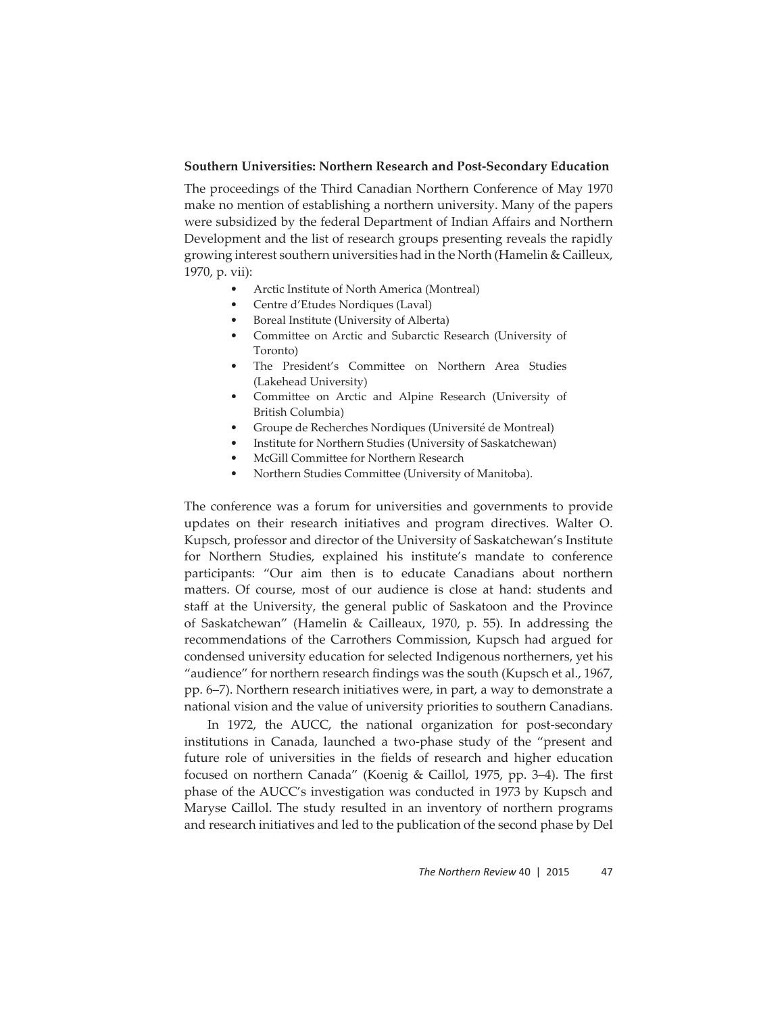#### **Southern Universities: Northern Research and Post-Secondary Education**

The proceedings of the Third Canadian Northern Conference of May 1970 make no mention of establishing a northern university. Many of the papers were subsidized by the federal Department of Indian Affairs and Northern Development and the list of research groups presenting reveals the rapidly growing interest southern universities had in the North (Hamelin & Cailleux, 1970, p. vii):

- Arctic Institute of North America (Montreal)
- Centre d'Etudes Nordiques (Laval)
- Boreal Institute (University of Alberta)
- Committee on Arctic and Subarctic Research (University of Toronto)
- The President's Committee on Northern Area Studies (Lakehead University)
- Committee on Arctic and Alpine Research (University of British Columbia)
- Groupe de Recherches Nordiques (Université de Montreal)
- Institute for Northern Studies (University of Saskatchewan)
- McGill Committee for Northern Research
- Northern Studies Committee (University of Manitoba).

The conference was a forum for universities and governments to provide updates on their research initiatives and program directives. Walter O. Kupsch, professor and director of the University of Saskatchewan's Institute for Northern Studies, explained his institute's mandate to conference participants: "Our aim then is to educate Canadians about northern matters. Of course, most of our audience is close at hand: students and staff at the University, the general public of Saskatoon and the Province of Saskatchewan" (Hamelin & Cailleaux, 1970, p. 55). In addressing the recommendations of the Carrothers Commission, Kupsch had argued for condensed university education for selected Indigenous northerners, yet his "audience" for northern research findings was the south (Kupsch et al., 1967, pp. 6–7). Northern research initiatives were, in part, a way to demonstrate a national vision and the value of university priorities to southern Canadians.

In 1972, the AUCC, the national organization for post-secondary institutions in Canada, launched a two-phase study of the "present and future role of universities in the fields of research and higher education focused on northern Canada" (Koenig & Caillol, 1975, pp. 3-4). The first phase of the AUCC's investigation was conducted in 1973 by Kupsch and Maryse Caillol. The study resulted in an inventory of northern programs and research initiatives and led to the publication of the second phase by Del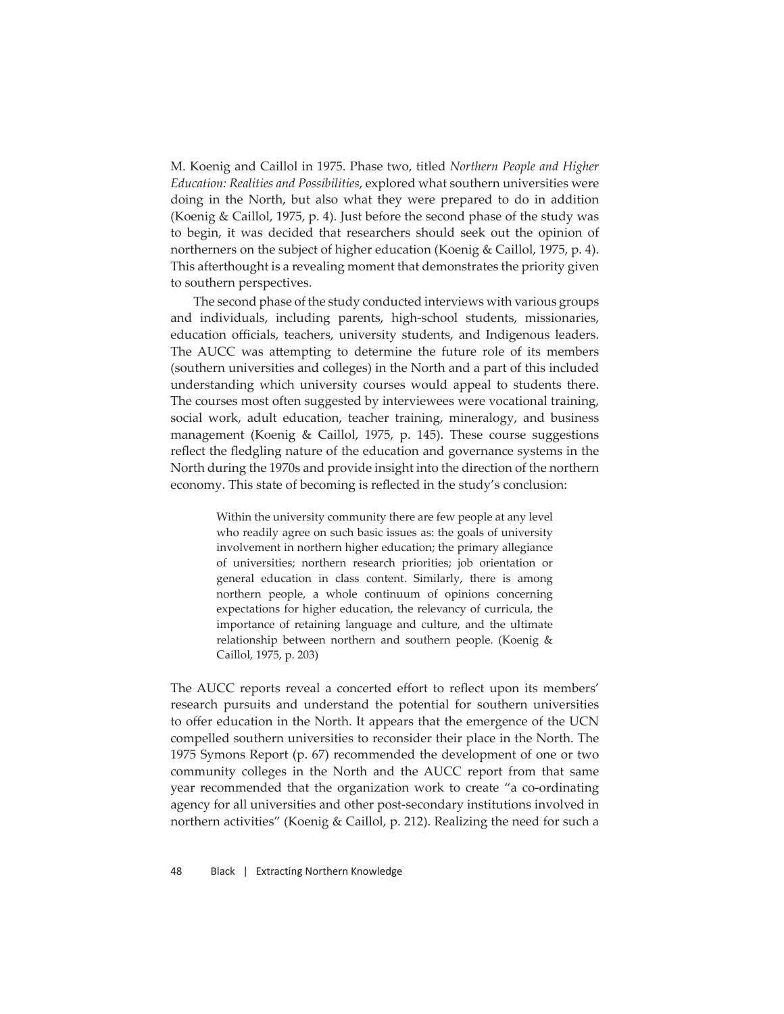M. Koenig and Caillol in 1975. Phase two, titled *Northern People and Higher Education: Realities and Possibilities*, explored what southern universities were doing in the North, but also what they were prepared to do in addition (Koenig & Caillol, 1975, p. 4). Just before the second phase of the study was to begin, it was decided that researchers should seek out the opinion of northerners on the subject of higher education (Koenig & Caillol, 1975, p. 4). This afterthought is a revealing moment that demonstrates the priority given to southern perspectives.

The second phase of the study conducted interviews with various groups and individuals, including parents, high-school students, missionaries, education officials, teachers, university students, and Indigenous leaders. The AUCC was attempting to determine the future role of its members (southern universities and colleges) in the North and a part of this included understanding which university courses would appeal to students there. The courses most often suggested by interviewees were vocational training, social work, adult education, teacher training, mineralogy, and business management (Koenig & Caillol, 1975, p. 145). These course suggestions reflect the fledgling nature of the education and governance systems in the North during the 1970s and provide insight into the direction of the northern economy. This state of becoming is reflected in the study's conclusion:

> Within the university community there are few people at any level who readily agree on such basic issues as: the goals of university involvement in northern higher education; the primary allegiance of universities; northern research priorities; job orientation or general education in class content. Similarly, there is among northern people, a whole continuum of opinions concerning expectations for higher education, the relevancy of curricula, the importance of retaining language and culture, and the ultimate relationship between northern and southern people. (Koenig & Caillol, 1975, p. 203)

The AUCC reports reveal a concerted effort to reflect upon its members' research pursuits and understand the potential for southern universities to offer education in the North. It appears that the emergence of the UCN compelled southern universities to reconsider their place in the North. The 1975 Symons Report (p. 67) recommended the development of one or two community colleges in the North and the AUCC report from that same year recommended that the organization work to create "a co-ordinating agency for all universities and other post-secondary institutions involved in northern activities" (Koenig & Caillol, p. 212). Realizing the need for such a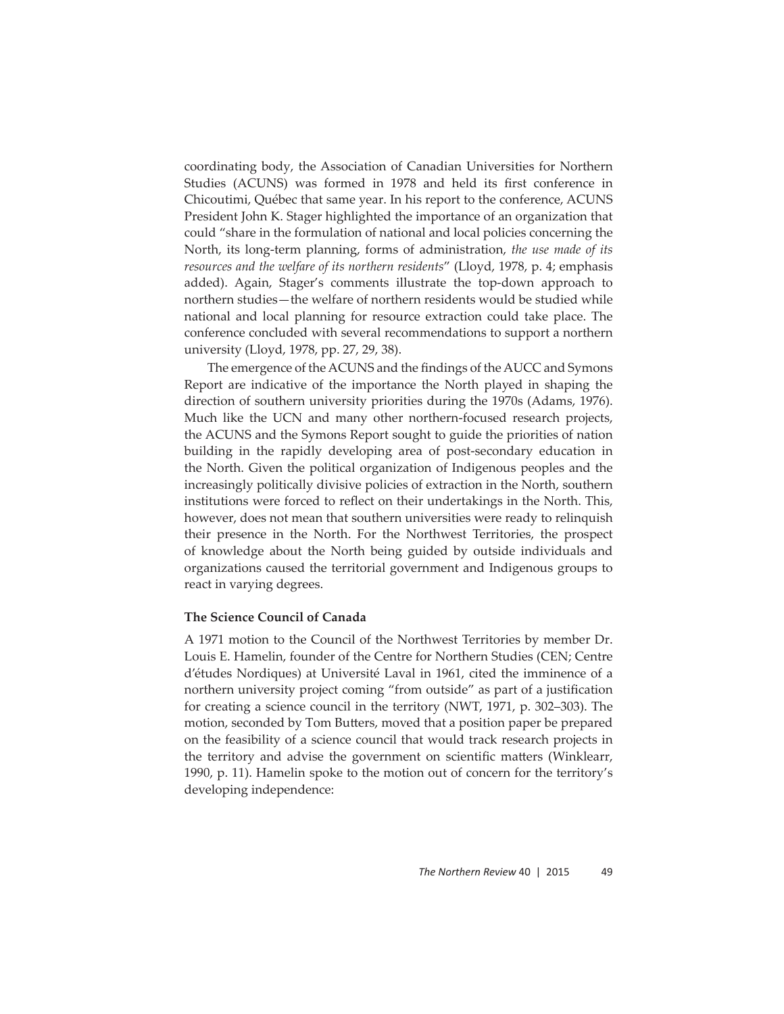coordinating body, the Association of Canadian Universities for Northern Studies (ACUNS) was formed in 1978 and held its first conference in Chicoutimi, Québec that same year. In his report to the conference, ACUNS President John K. Stager highlighted the importance of an organization that could "share in the formulation of national and local policies concerning the North, its long-term planning, forms of administration, *the use made of its resources and the welfare of its northern residents*" (Lloyd, 1978, p. 4; emphasis added). Again, Stager's comments illustrate the top-down approach to northern studies—the welfare of northern residents would be studied while national and local planning for resource extraction could take place. The conference concluded with several recommendations to support a northern university (Lloyd, 1978, pp. 27, 29, 38).

The emergence of the ACUNS and the findings of the AUCC and Symons Report are indicative of the importance the North played in shaping the direction of southern university priorities during the 1970s (Adams, 1976). Much like the UCN and many other northern-focused research projects, the ACUNS and the Symons Report sought to guide the priorities of nation building in the rapidly developing area of post-secondary education in the North. Given the political organization of Indigenous peoples and the increasingly politically divisive policies of extraction in the North, southern institutions were forced to reflect on their undertakings in the North. This, however, does not mean that southern universities were ready to relinquish their presence in the North. For the Northwest Territories, the prospect of knowledge about the North being guided by outside individuals and organizations caused the territorial government and Indigenous groups to react in varying degrees.

#### **The Science Council of Canada**

A 1971 motion to the Council of the Northwest Territories by member Dr. Louis E. Hamelin, founder of the Centre for Northern Studies (CEN; Centre d'études Nordiques) at Université Laval in 1961, cited the imminence of a northern university project coming "from outside" as part of a justification for creating a science council in the territory (NWT, 1971, p. 302–303). The motion, seconded by Tom Butters, moved that a position paper be prepared on the feasibility of a science council that would track research projects in the territory and advise the government on scientific matters (Winklearr, 1990, p. 11). Hamelin spoke to the motion out of concern for the territory's developing independence: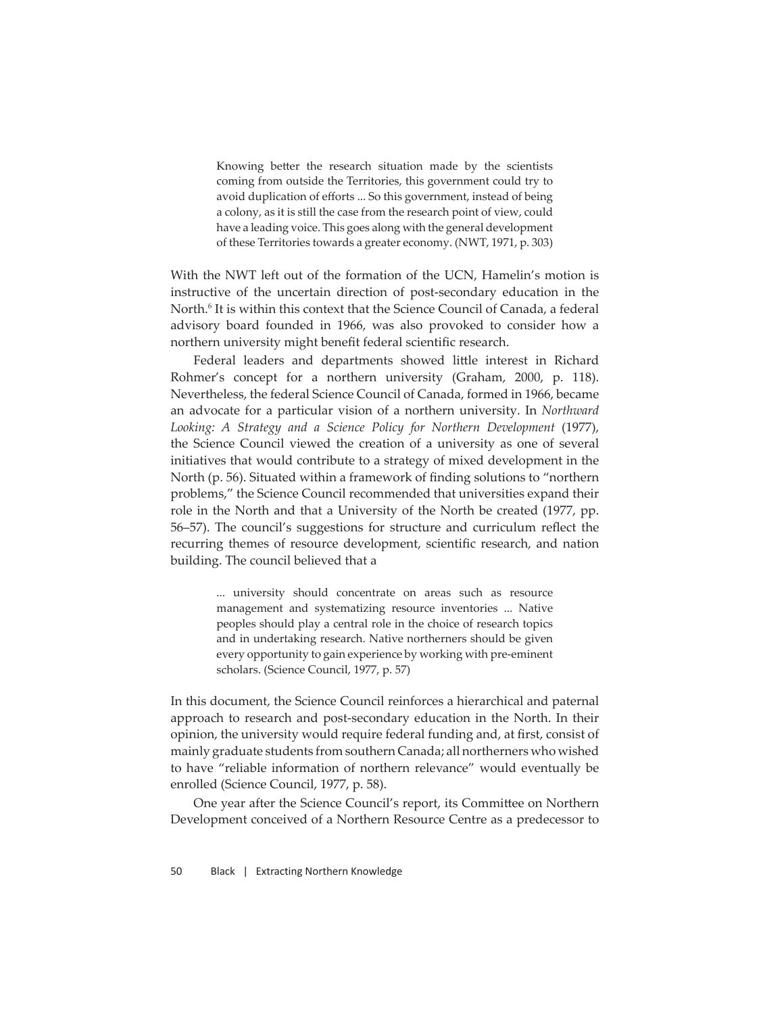Knowing better the research situation made by the scientists coming from outside the Territories, this government could try to avoid duplication of efforts ... So this government, instead of being a colony, as it is still the case from the research point of view, could have a leading voice. This goes along with the general development of these Territories towards a greater economy. (NWT, 1971, p. 303)

With the NWT left out of the formation of the UCN, Hamelin's motion is instructive of the uncertain direction of post-secondary education in the North.6 It is within this context that the Science Council of Canada, a federal advisory board founded in 1966, was also provoked to consider how a northern university might benefit federal scientific research.

Federal leaders and departments showed little interest in Richard Rohmer's concept for a northern university (Graham, 2000, p. 118). Nevertheless, the federal Science Council of Canada, formed in 1966, became an advocate for a particular vision of a northern university. In *Northward*  Looking: A Strategy and a Science Policy for Northern Development (1977), the Science Council viewed the creation of a university as one of several initiatives that would contribute to a strategy of mixed development in the North (p. 56). Situated within a framework of finding solutions to "northern problems," the Science Council recommended that universities expand their role in the North and that a University of the North be created (1977, pp. 56–57). The council's suggestions for structure and curriculum reflect the recurring themes of resource development, scientific research, and nation building. The council believed that a

> ... university should concentrate on areas such as resource management and systematizing resource inventories ... Native peoples should play a central role in the choice of research topics and in undertaking research. Native northerners should be given every opportunity to gain experience by working with pre-eminent scholars. (Science Council, 1977, p. 57)

In this document, the Science Council reinforces a hierarchical and paternal approach to research and post-secondary education in the North. In their opinion, the university would require federal funding and, at first, consist of mainly graduate students from southern Canada; all northerners who wished to have "reliable information of northern relevance" would eventually be enrolled (Science Council, 1977, p. 58).

One year after the Science Council's report, its Committee on Northern Development conceived of a Northern Resource Centre as a predecessor to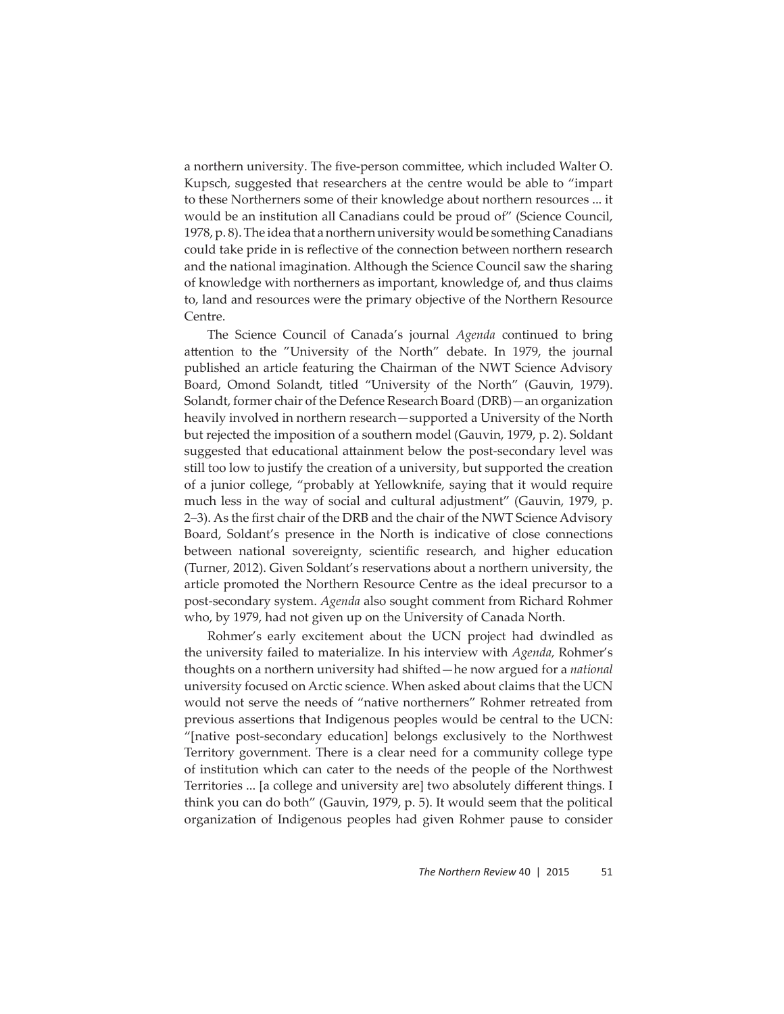a northern university. The five-person committee, which included Walter O. Kupsch, suggested that researchers at the centre would be able to "impart to these Northerners some of their knowledge about northern resources ... it would be an institution all Canadians could be proud of" (Science Council, 1978, p. 8). The idea that a northern university would be something Canadians could take pride in is reflective of the connection between northern research and the national imagination. Although the Science Council saw the sharing of knowledge with northerners as important, knowledge of, and thus claims to, land and resources were the primary objective of the Northern Resource Centre.

The Science Council of Canada's journal *Agenda* continued to bring attention to the "University of the North" debate. In 1979, the journal published an article featuring the Chairman of the NWT Science Advisory Board, Omond Solandt, titled "University of the North" (Gauvin, 1979). Solandt, former chair of the Defence Research Board (DRB)—an organization heavily involved in northern research—supported a University of the North but rejected the imposition of a southern model (Gauvin, 1979, p. 2). Soldant suggested that educational attainment below the post-secondary level was still too low to justify the creation of a university, but supported the creation of a junior college, "probably at Yellowknife, saying that it would require much less in the way of social and cultural adjustment" (Gauvin, 1979, p. 2–3). As the first chair of the DRB and the chair of the NWT Science Advisory Board, Soldant's presence in the North is indicative of close connections between national sovereignty, scientific research, and higher education (Turner, 2012). Given Soldant's reservations about a northern university, the article promoted the Northern Resource Centre as the ideal precursor to a post-secondary system. *Agenda* also sought comment from Richard Rohmer who, by 1979, had not given up on the University of Canada North.

Rohmer's early excitement about the UCN project had dwindled as the university failed to materialize. In his interview with *Agenda,* Rohmer's thoughts on a northern university had shifted—he now argued for a *national* university focused on Arctic science. When asked about claims that the UCN would not serve the needs of "native northerners" Rohmer retreated from previous assertions that Indigenous peoples would be central to the UCN: "[native post-secondary education] belongs exclusively to the Northwest Territory government. There is a clear need for a community college type of institution which can cater to the needs of the people of the Northwest Territories ... [a college and university are] two absolutely different things. I think you can do both" (Gauvin, 1979, p. 5). It would seem that the political organization of Indigenous peoples had given Rohmer pause to consider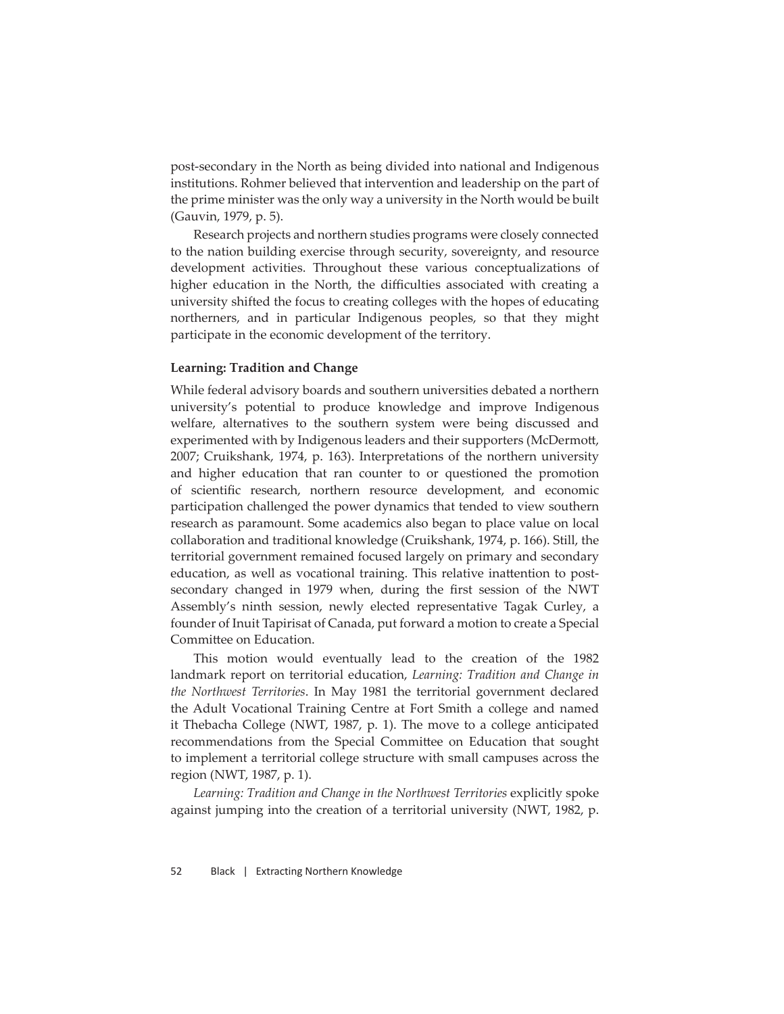post-secondary in the North as being divided into national and Indigenous institutions. Rohmer believed that intervention and leadership on the part of the prime minister was the only way a university in the North would be built (Gauvin, 1979, p. 5).

Research projects and northern studies programs were closely connected to the nation building exercise through security, sovereignty, and resource development activities. Throughout these various conceptualizations of higher education in the North, the difficulties associated with creating a university shifted the focus to creating colleges with the hopes of educating northerners, and in particular Indigenous peoples, so that they might participate in the economic development of the territory.

### **Learning: Tradition and Change**

While federal advisory boards and southern universities debated a northern university's potential to produce knowledge and improve Indigenous welfare, alternatives to the southern system were being discussed and experimented with by Indigenous leaders and their supporters (McDermott, 2007; Cruikshank, 1974, p. 163). Interpretations of the northern university and higher education that ran counter to or questioned the promotion of scientific research, northern resource development, and economic participation challenged the power dynamics that tended to view southern research as paramount. Some academics also began to place value on local collaboration and traditional knowledge (Cruikshank, 1974, p. 166). Still, the territorial government remained focused largely on primary and secondary education, as well as vocational training. This relative inattention to postsecondary changed in 1979 when, during the first session of the NWT Assembly's ninth session, newly elected representative Tagak Curley, a founder of Inuit Tapirisat of Canada, put forward a motion to create a Special Committee on Education.

This motion would eventually lead to the creation of the 1982 landmark report on territorial education, *Learning: Tradition and Change in the Northwest Territories*. In May 1981 the territorial government declared the Adult Vocational Training Centre at Fort Smith a college and named it Thebacha College (NWT, 1987, p. 1). The move to a college anticipated recommendations from the Special Committee on Education that sought to implement a territorial college structure with small campuses across the region (NWT, 1987, p. 1).

*Learning: Tradition and Change in the Northwest Territories* explicitly spoke against jumping into the creation of a territorial university (NWT, 1982, p.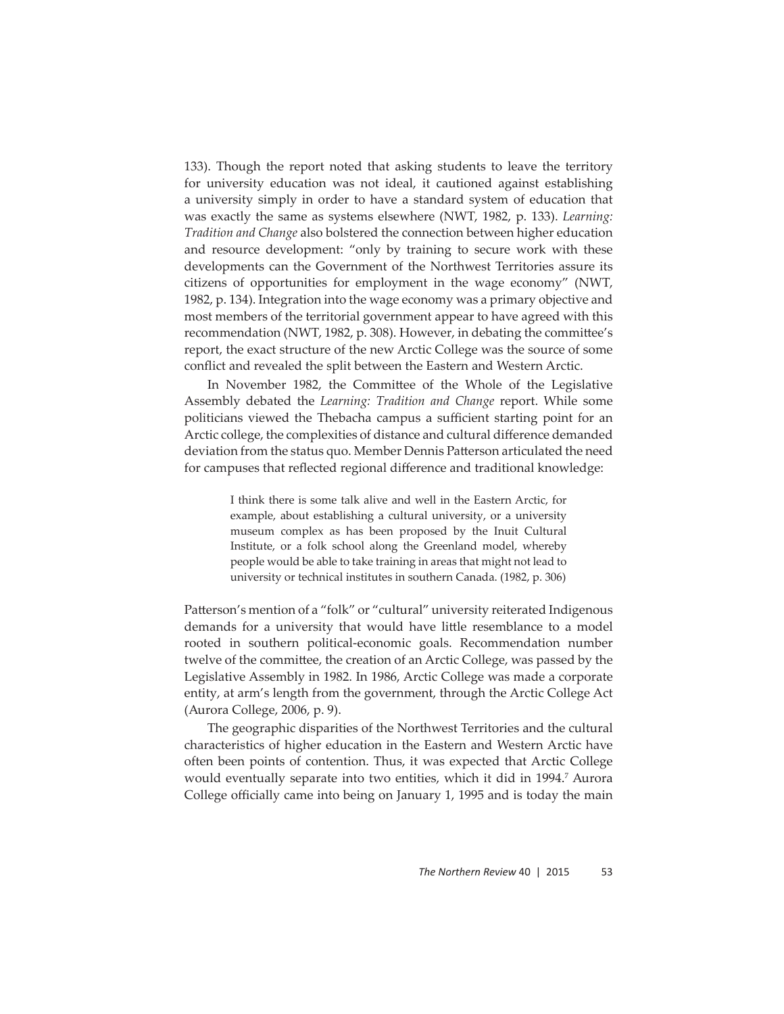133). Though the report noted that asking students to leave the territory for university education was not ideal, it cautioned against establishing a university simply in order to have a standard system of education that was exactly the same as systems elsewhere (NWT, 1982, p. 133). *Learning: Tradition and Change* also bolstered the connection between higher education and resource development: "only by training to secure work with these developments can the Government of the Northwest Territories assure its citizens of opportunities for employment in the wage economy" (NWT, 1982, p. 134). Integration into the wage economy was a primary objective and most members of the territorial government appear to have agreed with this recommendation (NWT, 1982, p. 308). However, in debating the committee's report, the exact structure of the new Arctic College was the source of some conflict and revealed the split between the Eastern and Western Arctic.

In November 1982, the Committee of the Whole of the Legislative Assembly debated the *Learning: Tradition and Change* report. While some politicians viewed the Thebacha campus a sufficient starting point for an Arctic college, the complexities of distance and cultural difference demanded deviation from the status quo. Member Dennis Patterson articulated the need for campuses that reflected regional difference and traditional knowledge:

> I think there is some talk alive and well in the Eastern Arctic, for example, about establishing a cultural university, or a university museum complex as has been proposed by the Inuit Cultural Institute, or a folk school along the Greenland model, whereby people would be able to take training in areas that might not lead to university or technical institutes in southern Canada. (1982, p. 306)

Patterson's mention of a "folk" or "cultural" university reiterated Indigenous demands for a university that would have little resemblance to a model rooted in southern political-economic goals. Recommendation number twelve of the committee, the creation of an Arctic College, was passed by the Legislative Assembly in 1982. In 1986, Arctic College was made a corporate entity, at arm's length from the government, through the Arctic College Act (Aurora College, 2006, p. 9).

The geographic disparities of the Northwest Territories and the cultural characteristics of higher education in the Eastern and Western Arctic have often been points of contention. Thus, it was expected that Arctic College would eventually separate into two entities, which it did in 1994.7 Aurora College officially came into being on January 1, 1995 and is today the main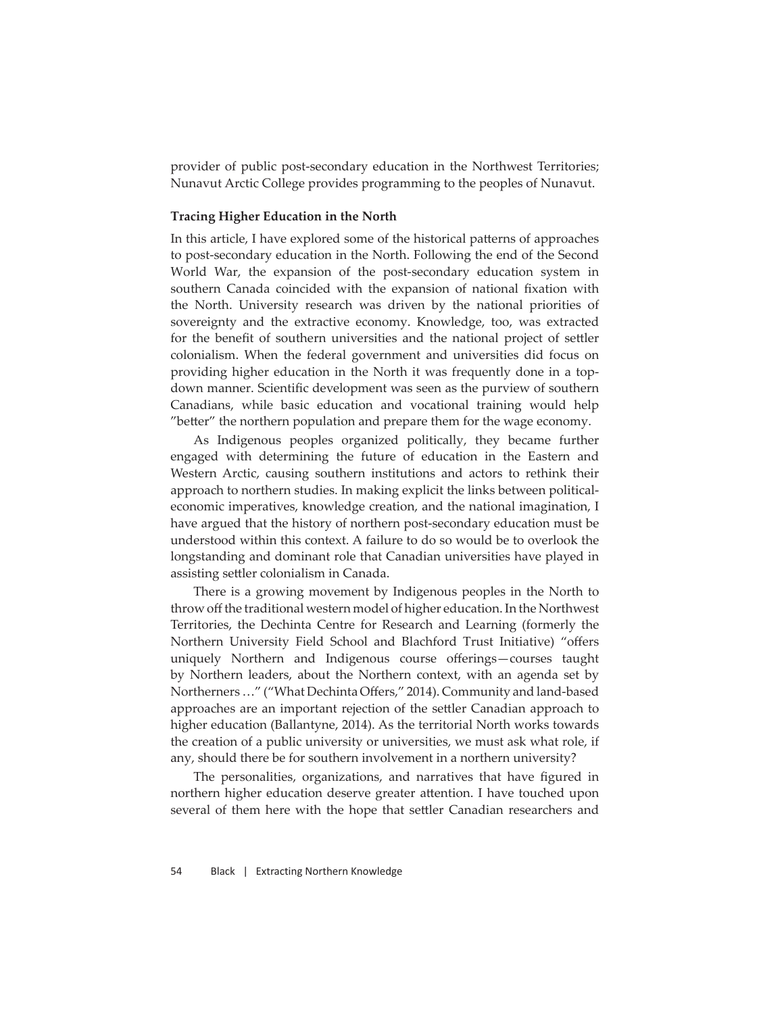provider of public post-secondary education in the Northwest Territories; Nunavut Arctic College provides programming to the peoples of Nunavut.

#### **Tracing Higher Education in the North**

In this article, I have explored some of the historical patterns of approaches to post-secondary education in the North. Following the end of the Second World War, the expansion of the post-secondary education system in southern Canada coincided with the expansion of national fixation with the North. University research was driven by the national priorities of sovereignty and the extractive economy. Knowledge, too, was extracted for the benefit of southern universities and the national project of settler colonialism. When the federal government and universities did focus on providing higher education in the North it was frequently done in a topdown manner. Scientific development was seen as the purview of southern Canadians, while basic education and vocational training would help "better" the northern population and prepare them for the wage economy.

As Indigenous peoples organized politically, they became further engaged with determining the future of education in the Eastern and Western Arctic, causing southern institutions and actors to rethink their approach to northern studies. In making explicit the links between politicaleconomic imperatives, knowledge creation, and the national imagination, I have argued that the history of northern post-secondary education must be understood within this context. A failure to do so would be to overlook the longstanding and dominant role that Canadian universities have played in assisting settler colonialism in Canada.

There is a growing movement by Indigenous peoples in the North to throw off the traditional western model of higher education. In the Northwest Territories, the Dechinta Centre for Research and Learning (formerly the Northern University Field School and Blachford Trust Initiative) "offers uniquely Northern and Indigenous course offerings—courses taught by Northern leaders, about the Northern context, with an agenda set by Northerners ..." ("What Dechinta Offers," 2014). Community and land-based approaches are an important rejection of the settler Canadian approach to higher education (Ballantyne, 2014). As the territorial North works towards the creation of a public university or universities, we must ask what role, if any, should there be for southern involvement in a northern university?

The personalities, organizations, and narratives that have figured in northern higher education deserve greater attention. I have touched upon several of them here with the hope that settler Canadian researchers and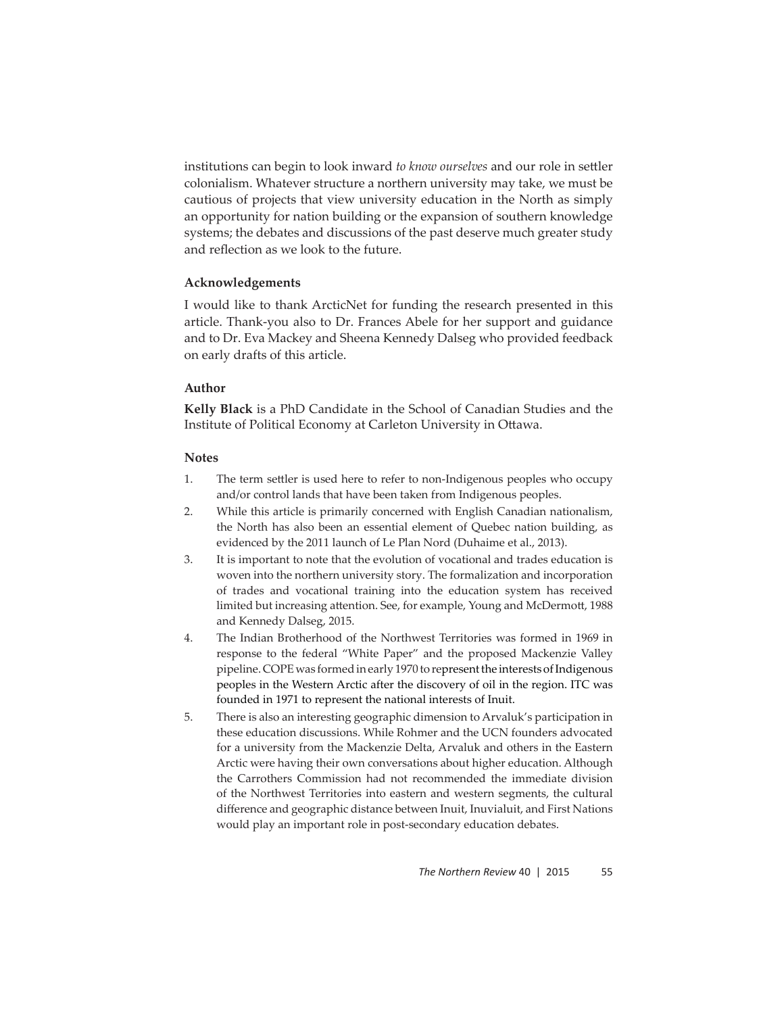institutions can begin to look inward *to know ourselves* and our role in settler colonialism. Whatever structure a northern university may take, we must be cautious of projects that view university education in the North as simply an opportunity for nation building or the expansion of southern knowledge systems; the debates and discussions of the past deserve much greater study and reflection as we look to the future.

# **Acknowledgements**

I would like to thank ArcticNet for funding the research presented in this article. Thank-you also to Dr. Frances Abele for her support and guidance and to Dr. Eva Mackey and Sheena Kennedy Dalseg who provided feedback on early drafts of this article.

# **Author**

**Kelly Black** is a PhD Candidate in the School of Canadian Studies and the Institute of Political Economy at Carleton University in Ottawa.

### **Notes**

- 1. The term settler is used here to refer to non-Indigenous peoples who occupy and/or control lands that have been taken from Indigenous peoples.
- 2. While this article is primarily concerned with English Canadian nationalism, the North has also been an essential element of Quebec nation building, as evidenced by the 2011 launch of Le Plan Nord (Duhaime et al., 2013).
- 3. It is important to note that the evolution of vocational and trades education is woven into the northern university story. The formalization and incorporation of trades and vocational training into the education system has received limited but increasing attention. See, for example, Young and McDermott, 1988 and Kennedy Dalseg, 2015.
- 4. The Indian Brotherhood of the Northwest Territories was formed in 1969 in response to the federal "White Paper" and the proposed Mackenzie Valley pipeline. COPE was formed in early 1970 to represent the interests of Indigenous peoples in the Western Arctic after the discovery of oil in the region. ITC was founded in 1971 to represent the national interests of Inuit.
- 5. There is also an interesting geographic dimension to Arvaluk's participation in these education discussions. While Rohmer and the UCN founders advocated for a university from the Mackenzie Delta, Arvaluk and others in the Eastern Arctic were having their own conversations about higher education. Although the Carrothers Commission had not recommended the immediate division of the Northwest Territories into eastern and western segments, the cultural difference and geographic distance between Inuit, Inuvialuit, and First Nations would play an important role in post-secondary education debates.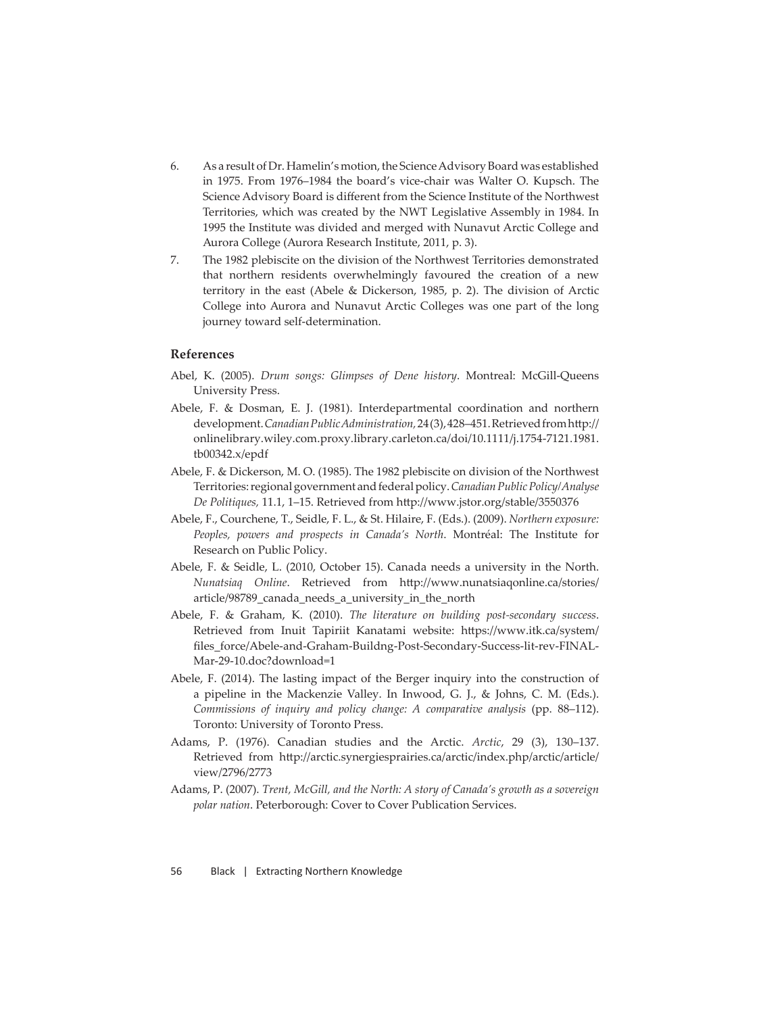- 6. As a result of Dr. Hamelin's motion, the Science Advisory Board was established in 1975. From 1976–1984 the board's vice-chair was Walter O. Kupsch. The Science Advisory Board is different from the Science Institute of the Northwest Territories, which was created by the NWT Legislative Assembly in 1984. In 1995 the Institute was divided and merged with Nunavut Arctic College and Aurora College (Aurora Research Institute, 2011, p. 3).
- 7. The 1982 plebiscite on the division of the Northwest Territories demonstrated that northern residents overwhelmingly favoured the creation of a new territory in the east (Abele & Dickerson, 1985, p. 2). The division of Arctic College into Aurora and Nunavut Arctic Colleges was one part of the long journey toward self-determination.

#### **References**

- Abel, K. (2005). *Drum songs: Glimpses of Dene history*. Montreal: McGill-Queens University Press.
- Abele, F. & Dosman, E. J. (1981). Interdepartmental coordination and northern development. *Canadian Public Administration*, 24(3), 428-451. Retrieved from http:// onlinelibrary.wiley.com.proxy.library.carleton.ca/doi/10.1111/j.1754-7121.1981. tb00342.x/epdf
- Abele, F. & Dickerson, M. O. (1985). The 1982 plebiscite on division of the Northwest Territories: regional government and federal policy. *Canadian Public Policy/Analyse*  De Politiques, 11.1, 1-15. Retrieved from http://www.jstor.org/stable/3550376
- Abele, F., Courchene, T., Seidle, F. L., & St. Hilaire, F. (Eds.). (2009). *Northern exposure: Peoples, powers and prospects in Canada's North*. Montréal: The Institute for Research on Public Policy.
- Abele, F. & Seidle, L. (2010, October 15). Canada needs a university in the North. *Nunatsiaq Online*. Retrieved from http://www.nunatsiaqonline.ca/stories/ article/98789\_canada\_needs\_a\_university\_in\_the\_north
- Abele, F. & Graham, K. (2010). *The literature on building post-secondary success*. Retrieved from Inuit Tapiriit Kanatami website: https://www.itk.ca/system/ files\_force/Abele-and-Graham-Buildng-Post-Secondary-Success-lit-rev-FINAL-Mar-29-10.doc?download=1
- Abele, F. (2014). The lasting impact of the Berger inquiry into the construction of a pipeline in the Mackenzie Valley. In Inwood, G. J., & Johns, C. M. (Eds.). *Commissions of inquiry and policy change: A comparative analysis* (pp. 88–112). Toronto: University of Toronto Press.
- Adams, P. (1976). Canadian studies and the Arctic. *Arctic*, 29 (3), 130–137. Retrieved from http://arctic.synergiesprairies.ca/arctic/index.php/arctic/article/ view/2796/2773
- Adams, P. (2007). *Trent, McGill, and the North: A story of Canada's growth as a sovereign polar nation*. Peterborough: Cover to Cover Publication Services.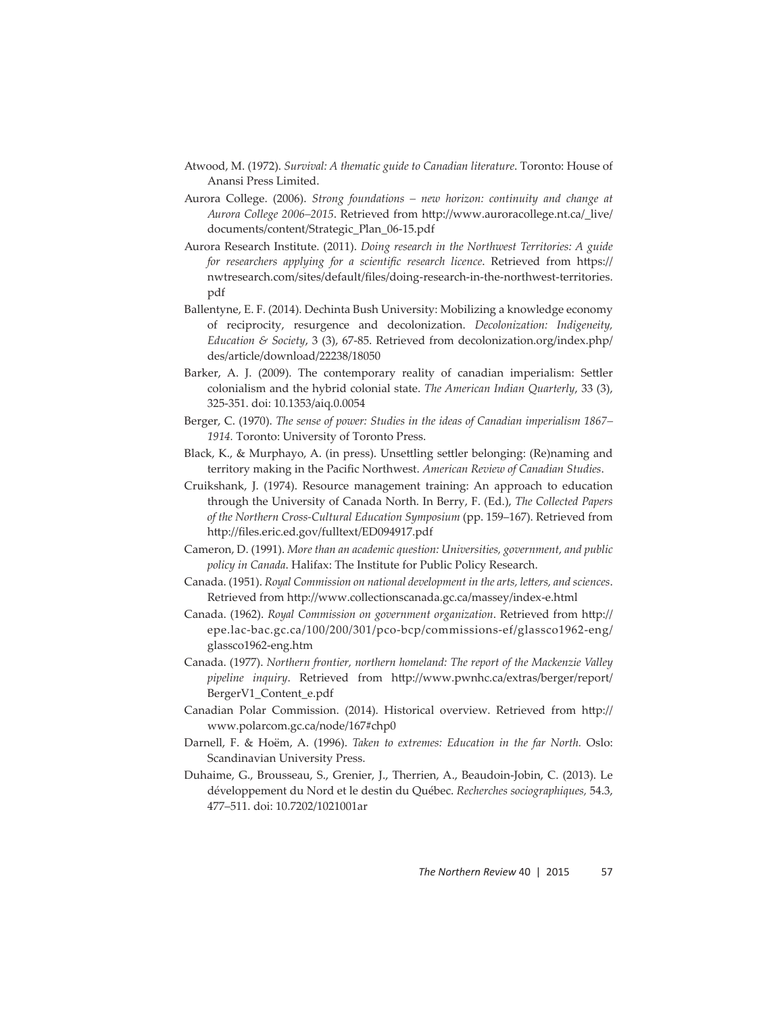- Atwood, M. (1972). *Survival: A thematic guide to Canadian literature*. Toronto: House of Anansi Press Limited.
- Aurora College. (2006). *Strong foundations new horizon: continuity and change at Aurora College 2006–2015*. Retrieved from http://www.auroracollege.nt.ca/\_live/ documents/content/Strategic\_Plan\_06-15.pdf
- Aurora Research Institute. (2011). *Doing research in the Northwest Territories: A guide*  for researchers applying for a scientific research licence. Retrieved from https:// nwtresearch.com/sites/default/files/doing-research-in-the-northwest-territories. pdf
- Ballentyne, E. F. (2014). Dechinta Bush University: Mobilizing a knowledge economy of reciprocity, resurgence and decolonization. *Decolonization: Indigeneity, Education & Society*, 3 (3), 67-85. Retrieved from decolonization.org/index.php/ des/article/download/22238/18050
- Barker, A. J. (2009). The contemporary reality of canadian imperialism: Settler colonialism and the hybrid colonial state. *The American Indian Quarterly*, 33 (3), 325-351. doi: 10.1353/aiq.0.0054
- Berger, C. (1970). *The sense of power: Studies in the ideas of Canadian imperialism 1867– 1914.* Toronto: University of Toronto Press.
- Black, K., & Murphayo, A. (in press). Unsettling settler belonging: (Re)naming and territory making in the Pacific Northwest. *American Review of Canadian Studies*.
- Cruikshank, J. (1974). Resource management training: An approach to education through the University of Canada North. In Berry, F. (Ed.), *The Collected Papers of the Northern Cross-Cultural Education Symposium* (pp. 159–167). Retrieved from http://files.eric.ed.gov/fulltext/ED094917.pdf
- Cameron, D. (1991). *More than an academic question: Universities, government, and public policy in Canada*. Halifax: The Institute for Public Policy Research.
- Canada. (1951). *Royal Commission on national development in the arts, letters, and sciences*. Retrieved from http://www.collectionscanada.gc.ca/massey/index-e.html
- Canada. (1962). *Royal Commission on government organization*. Retrieved from http:// epe.lac-bac.gc.ca/100/200/301/pco-bcp/commissions-ef/glassco1962-eng/ glassco1962-eng.htm
- Canada. (1977). *Northern frontier, northern homeland: The report of the Mackenzie Valley*  pipeline inquiry. Retrieved from http://www.pwnhc.ca/extras/berger/report/ BergerV1\_Content\_e.pdf
- Canadian Polar Commission. (2014). Historical overview. Retrieved from http:// www.polarcom.gc.ca/node/167#chp0
- Darnell, F. & Hoëm, A. (1996). *Taken to extremes: Education in the far North.* Oslo: Scandinavian University Press.
- Duhaime, G., Brousseau, S., Grenier, J., Therrien, A., Beaudoin-Jobin, C. (2013). Le développement du Nord et le destin du Québec. *Recherches sociographiques,* 54.3, 477–511. doi: 10.7202/1021001ar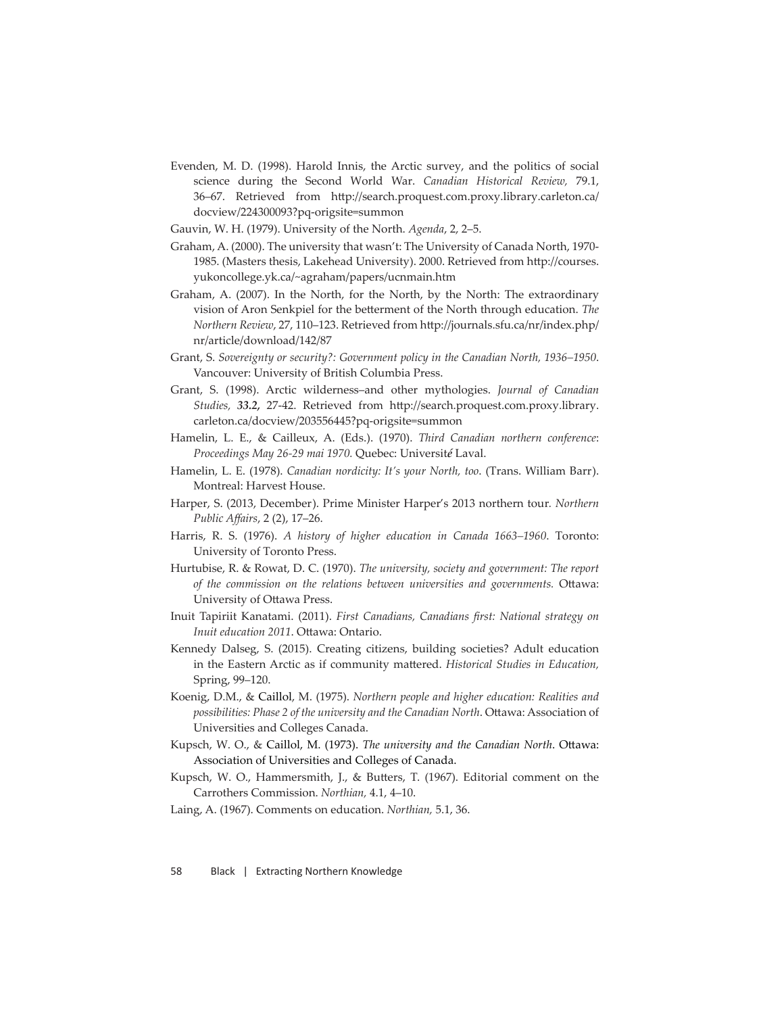- Evenden, M. D. (1998). Harold Innis, the Arctic survey, and the politics of social science during the Second World War. *Canadian Historical Review,* 79.1, 36-67. Retrieved from http://search.proquest.com.proxy.library.carleton.ca/ docview/224300093?pq-origsite=summon
- Gauvin, W. H. (1979). University of the North. *Agenda*, 2, 2–5.
- Graham, A. (2000). The university that wasn't: The University of Canada North, 1970- 1985. (Masters thesis, Lakehead University). 2000. Retrieved from http://courses. yukoncollege.yk.ca/~agraham/papers/ucnmain.htm
- Graham, A. (2007). In the North, for the North, by the North: The extraordinary vision of Aron Senkpiel for the betterment of the North through education. *The Northern Review, 27, 110-123. Retrieved from http://journals.sfu.ca/nr/index.php/* nr/article/download/142/87
- Grant, S. *Sovereignty or security?: Government policy in the Canadian North, 1936–1950*. Vancouver: University of British Columbia Press.
- Grant, S. (1998). Arctic wilderness–and other mythologies. *Journal of Canadian Studies,* 33.2, 27-42. Retrieved from http://search.proquest.com.proxy.library. carleton.ca/docview/203556445?pq-origsite=summon
- Hamelin, L. E., & Cailleux, A. (Eds.). (1970). *Third Canadian northern conference*: *Proceedings May 26-29 mai 1970.* Quebec: Universit*é* Laval.
- Hamelin, L. E. (1978). *Canadian nordicity: It's your North, too*. (Trans. William Barr). Montreal: Harvest House.
- Harper, S. (2013, December). Prime Minister Harper's 2013 northern tour*. Northern Public Aff airs*, 2 (2), 17–26.
- Harris, R. S. (1976). *A history of higher education in Canada 1663–1960*. Toronto: University of Toronto Press.
- Hurtubise, R. & Rowat, D. C. (1970). *The university, society and government: The report*  of the commission on the relations between universities and governments. Ottawa: University of Ottawa Press.
- Inuit Tapiriit Kanatami. (2011). *First Canadians, Canadians fi rst: National strategy on Inuit education* 2011. Ottawa: Ontario.
- Kennedy Dalseg, S. (2015). Creating citizens, building societies? Adult education in the Eastern Arctic as if community mattered. *Historical Studies in Education*, Spring, 99–120.
- Koenig, D.M., & Caillol, M. (1975). *Northern people and higher education: Realities and*  possibilities: Phase 2 of the university and the Canadian North. Ottawa: Association of Universities and Colleges Canada.
- Kupsch, W. O., & Caillol, M. (1973). *The university and the Canadian North*. Ottawa: Association of Universities and Colleges of Canada.
- Kupsch, W. O., Hammersmith, J., & Butters, T. (1967). Editorial comment on the Carrothers Commission. *Northian,* 4.1, 4–10.
- Laing, A. (1967). Comments on education. *Northian,* 5.1, 36.

58 Black | Extracting Northern Knowledge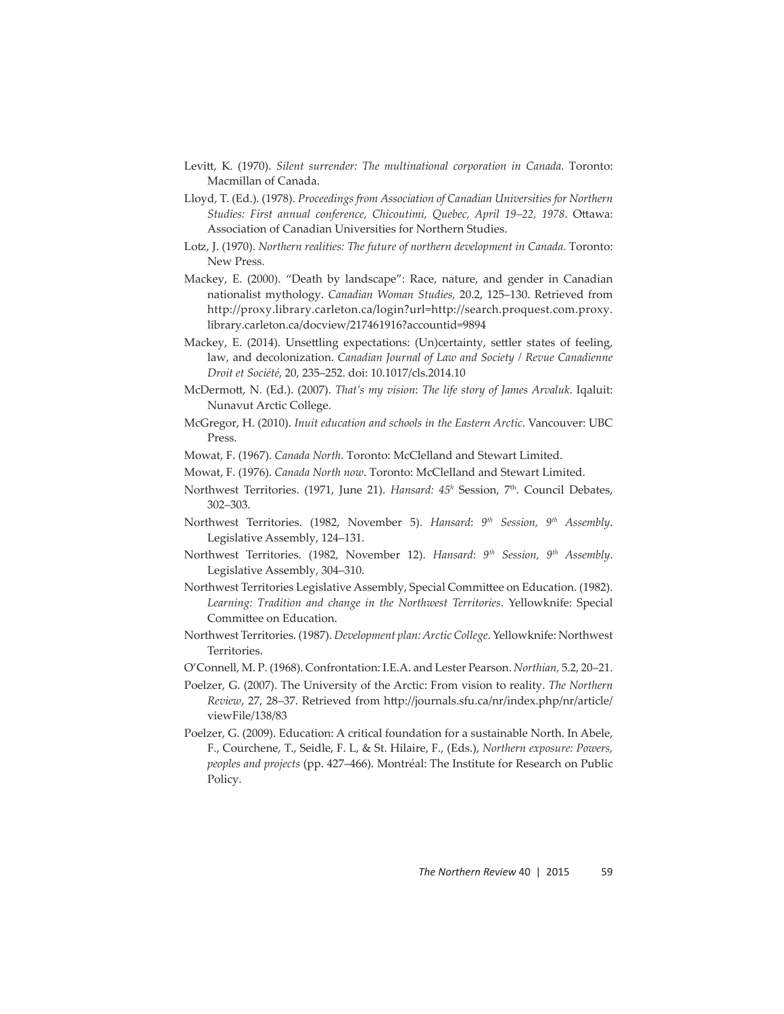- Levitt, K. (1970). *Silent surrender: The multinational corporation in Canada*. Toronto: Macmillan of Canada.
- Lloyd, T. (Ed.). (1978). *Proceedings from Association of Canadian Universities for Northern*  Studies: First annual conference, Chicoutimi, Quebec, April 19-22, 1978. Ottawa: Association of Canadian Universities for Northern Studies.
- Lotz, J. (1970). *Northern realities: The future of northern development in Canada*. Toronto: New Press.
- Mackey, E. (2000). "Death by landscape": Race, nature, and gender in Canadian nationalist mythology. *Canadian Woman Studies,* 20.2, 125–130. Retrieved from http://proxy.library.carleton.ca/login?url=http://search.proquest.com.proxy. library.carleton.ca/docview/217461916?accountid=9894
- Mackey, E. (2014). Unsettling expectations: (Un)certainty, settler states of feeling, law, and decolonization. *Canadian Journal of Law and Society / Revue Canadienne Droit et Société*, 20, 235–252. doi: 10.1017/cls.2014.10
- McDermott, N. (Ed.). (2007). *That's my vision: The life story of James Arvaluk. Iqaluit:* Nunavut Arctic College.
- McGregor, H. (2010). *Inuit education and schools in the Eastern Arctic*. Vancouver: UBC Press.
- Mowat, F. (1967). *Canada North*. Toronto: McClelland and Stewart Limited.
- Mowat, F. (1976). *Canada North now*. Toronto: McClelland and Stewart Limited.
- Northwest Territories. (1971, June 21). *Hansard: 45<sup>h</sup>* Session, 7<sup>th</sup>. Council Debates, 302–303.
- Northwest Territories. (1982, November 5). *Hansard*: *9th Session, 9th Assembly*. Legislative Assembly, 124–131.
- Northwest Territories. (1982, November 12). *Hansard*: *9th Session, 9th Assembly*. Legislative Assembly, 304–310.
- Northwest Territories Legislative Assembly, Special Committee on Education. (1982). *Learning: Tradition and change in the Northwest Territories*. Yellowknife: Special Committee on Education.
- Northwest Territories. (1987). *Development plan: Arctic College*. Yellowknife: Northwest Territories.
- O'Connell, M. P. (1968). Confrontation: I.E.A. and Lester Pearson. *Northian,* 5.2, 20–21.
- Poelzer, G. (2007). The University of the Arctic: From vision to reality. *The Northern Review, 27, 28-37. Retrieved from http://journals.sfu.ca/nr/index.php/nr/article/* viewFile/138/83
- Poelzer, G. (2009). Education: A critical foundation for a sustainable North. In Abele, F., Courchene, T., Seidle, F. L, & St. Hilaire, F., (Eds.), *Northern exposure: Powers, peoples and projects* (pp. 427–466). Montréal: The Institute for Research on Public Policy.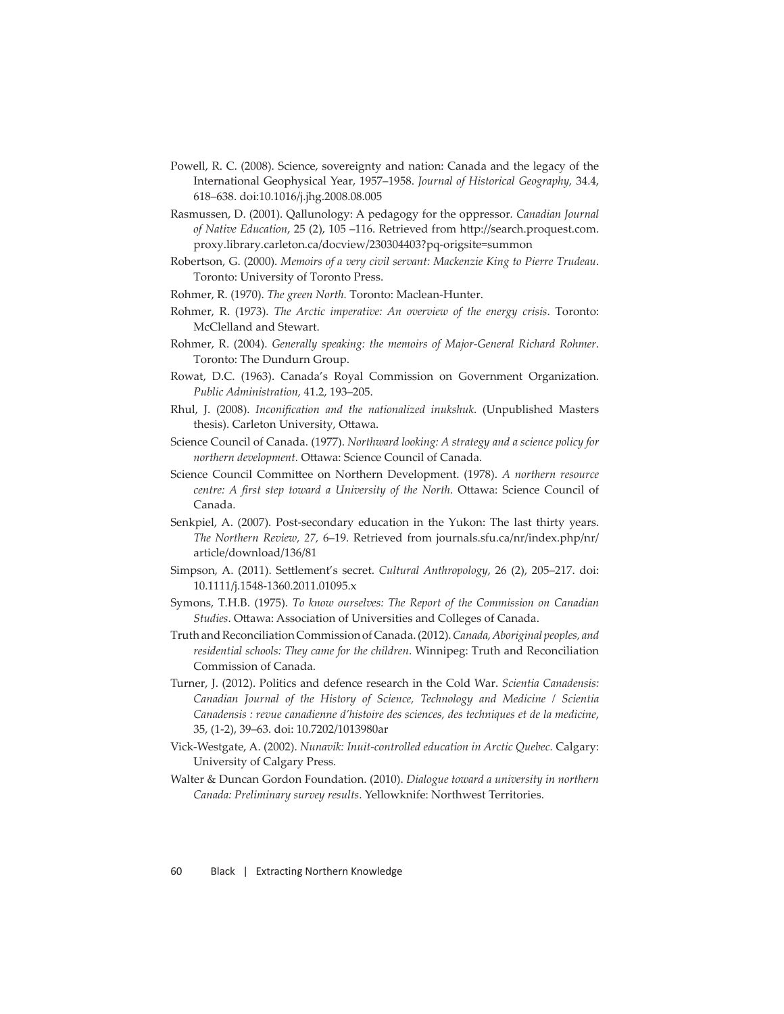- Powell, R. C. (2008). Science, sovereignty and nation: Canada and the legacy of the International Geophysical Year, 1957–1958. *Journal of Historical Geography,* 34.4, 618–638. doi:10.1016/j.jhg.2008.08.005
- Rasmussen, D. (2001). Qallunology: A pedagogy for the oppressor*. Canadian Journal*  of Native Education, 25 (2), 105 -116. Retrieved from http://search.proquest.com. proxy.library.carleton.ca/docview/230304403?pq-origsite=summon
- Robertson, G. (2000). *Memoirs of a very civil servant: Mackenzie King to Pierre Trudeau*. Toronto: University of Toronto Press.
- Rohmer, R. (1970). *The green North.* Toronto: Maclean-Hunter.
- Rohmer, R. (1973). *The Arctic imperative: An overview of the energy crisis*. Toronto: McClelland and Stewart.
- Rohmer, R. (2004). *Generally speaking: the memoirs of Major-General Richard Rohmer*. Toronto: The Dundurn Group.
- Rowat, D.C. (1963). Canada's Royal Commission on Government Organization. *Public Administration,* 41.2, 193–205.
- Rhul, J. (2008). *Inconification and the nationalized inukshuk*. (Unpublished Masters thesis). Carleton University, Ottawa.
- Science Council of Canada. (1977). *Northward looking: A strategy and a science policy for northern development.* Ottawa: Science Council of Canada.
- Science Council Committee on Northern Development. (1978). *A northern resource centre: A first step toward a University of the North. Ottawa: Science Council of* Canada.
- Senkpiel, A. (2007). Post-secondary education in the Yukon: The last thirty years. *The Northern Review, 27,* 6–19. Retrieved from journals.sfu.ca/nr/index.php/nr/ article/download/136/81
- Simpson, A. (2011). Settlement's secret. *Cultural Anthropology*, 26 (2), 205-217. doi: 10.1111/j.1548-1360.2011.01095.x
- Symons, T.H.B. (1975). *To know ourselves: The Report of the Commission on Canadian*  Studies. Ottawa: Association of Universities and Colleges of Canada.
- Truth and Reconciliation Commission of Canada. (2012). *Canada, Aboriginal peoples, and residential schools: They came for the children*. Winnipeg: Truth and Reconciliation Commission of Canada.
- Turner, J. (2012). Politics and defence research in the Cold War. *Scientia Canadensis: Canadian Journal of the History of Science, Technology and Medicine / Scientia Canadensis : revue canadienne d'histoire des sciences, des techniques et de la medicine*, 35, (1-2), 39–63. doi: 10.7202/1013980ar
- Vick-Westgate, A. (2002). *Nunavik: Inuit-controlled education in Arctic Quebec.* Calgary: University of Calgary Press.
- Walter & Duncan Gordon Foundation. (2010). *Dialogue toward a university in northern Canada: Preliminary survey results*. Yellowknife: Northwest Territories.

60 Black | Extracting Northern Knowledge